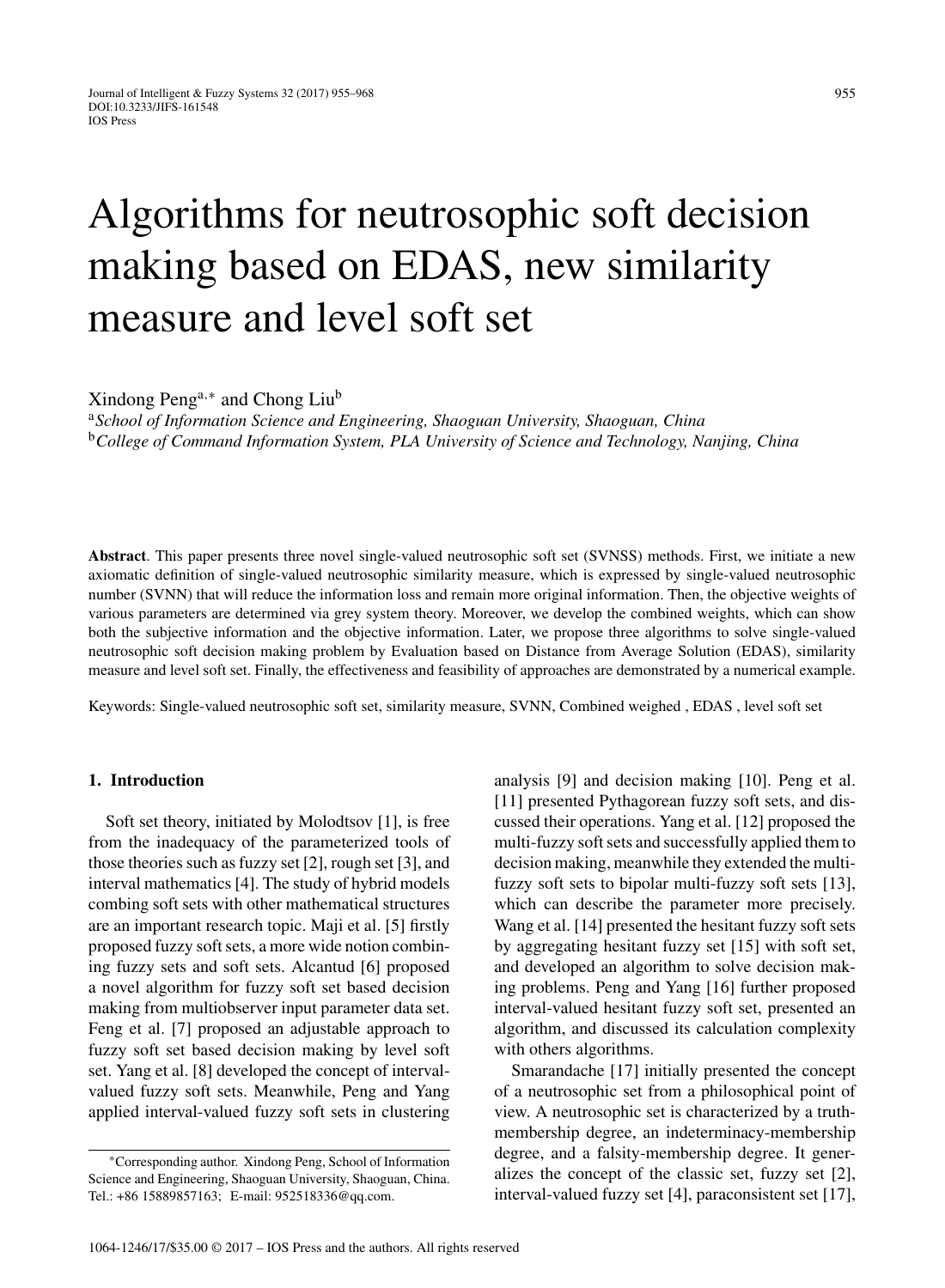# Algorithms for neutrosophic soft decision making based on EDAS, new similarity measure and level soft set

Xindong Peng<sup>a,∗</sup> and Chong Liu<sup>b</sup>

<sup>a</sup>*School of Information Science and Engineering, Shaoguan University, Shaoguan, China* <sup>b</sup>*College of Command Information System, PLA University of Science and Technology, Nanjing, China*

**Abstract**. This paper presents three novel single-valued neutrosophic soft set (SVNSS) methods. First, we initiate a new axiomatic definition of single-valued neutrosophic similarity measure, which is expressed by single-valued neutrosophic number (SVNN) that will reduce the information loss and remain more original information. Then, the objective weights of various parameters are determined via grey system theory. Moreover, we develop the combined weights, which can show both the subjective information and the objective information. Later, we propose three algorithms to solve single-valued neutrosophic soft decision making problem by Evaluation based on Distance from Average Solution (EDAS), similarity measure and level soft set. Finally, the effectiveness and feasibility of approaches are demonstrated by a numerical example.

Keywords: Single-valued neutrosophic soft set, similarity measure, SVNN, Combined weighed , EDAS , level soft set

#### **1. Introduction**

Soft set theory, initiated by Molodtsov [1], is free from the inadequacy of the parameterized tools of those theories such as fuzzy set [2], rough set [3], and interval mathematics [4]. The study of hybrid models combing soft sets with other mathematical structures are an important research topic. Maji et al. [5] firstly proposed fuzzy soft sets, a more wide notion combining fuzzy sets and soft sets. Alcantud [6] proposed a novel algorithm for fuzzy soft set based decision making from multiobserver input parameter data set. Feng et al. [7] proposed an adjustable approach to fuzzy soft set based decision making by level soft set. Yang et al. [8] developed the concept of intervalvalued fuzzy soft sets. Meanwhile, Peng and Yang applied interval-valued fuzzy soft sets in clustering

analysis [9] and decision making [10]. Peng et al. [11] presented Pythagorean fuzzy soft sets, and discussed their operations. Yang et al. [12] proposed the multi-fuzzy soft sets and successfully applied them to decision making, meanwhile they extended the multifuzzy soft sets to bipolar multi-fuzzy soft sets [13], which can describe the parameter more precisely. Wang et al. [14] presented the hesitant fuzzy soft sets by aggregating hesitant fuzzy set [15] with soft set, and developed an algorithm to solve decision making problems. Peng and Yang [16] further proposed interval-valued hesitant fuzzy soft set, presented an algorithm, and discussed its calculation complexity with others algorithms.

Smarandache [17] initially presented the concept of a neutrosophic set from a philosophical point of view. A neutrosophic set is characterized by a truthmembership degree, an indeterminacy-membership degree, and a falsity-membership degree. It generalizes the concept of the classic set, fuzzy set [2], interval-valued fuzzy set [4], paraconsistent set [17],

<sup>∗</sup>Corresponding author. Xindong Peng, School of Information Science and Engineering, Shaoguan University, Shaoguan, China. Tel.: +86 15889857163; E-mail: [952518336@qq.com.](mailto:952518336@qq.com)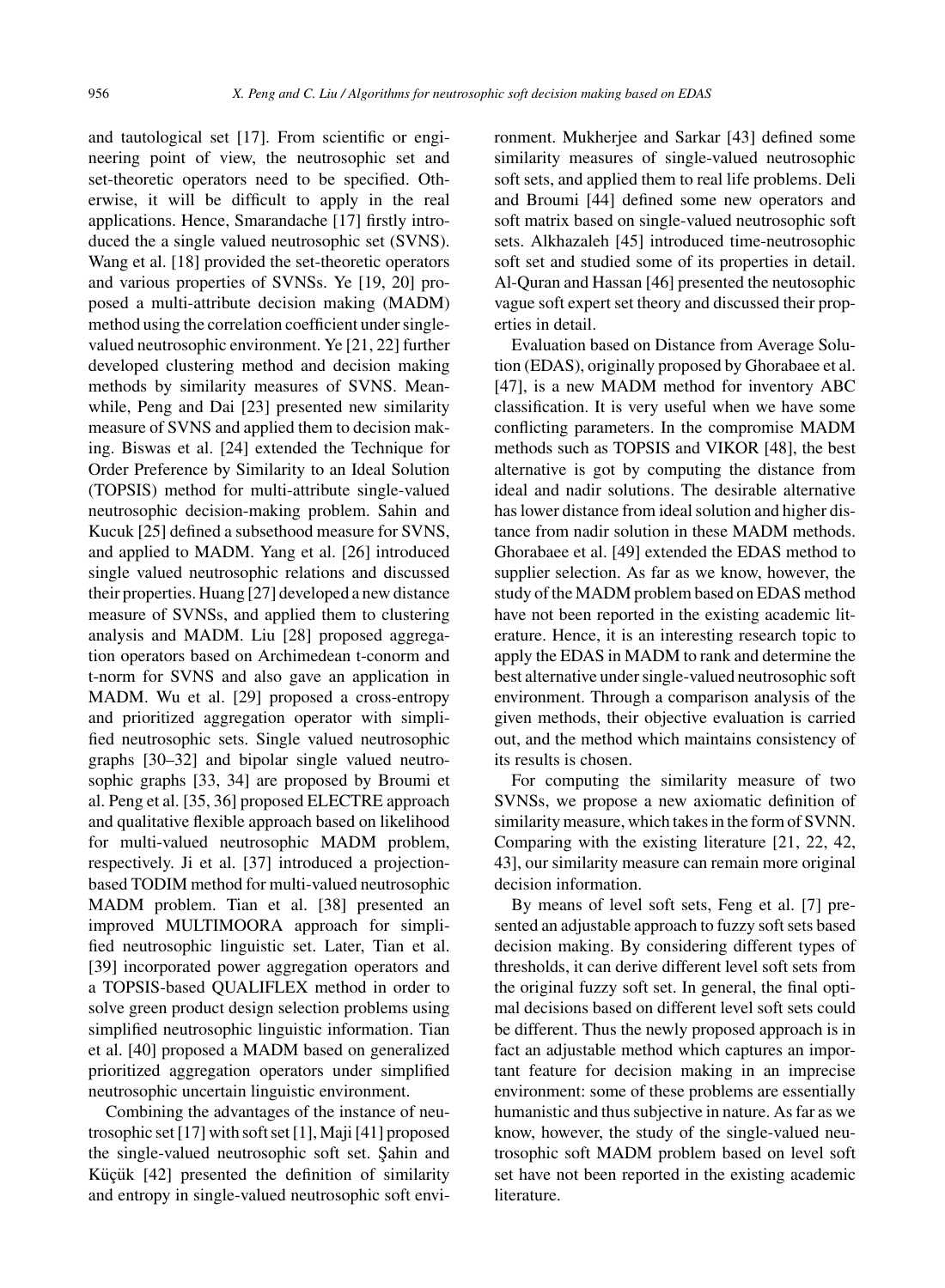and tautological set [17]. From scientific or engineering point of view, the neutrosophic set and set-theoretic operators need to be specified. Otherwise, it will be difficult to apply in the real applications. Hence, Smarandache [17] firstly introduced the a single valued neutrosophic set (SVNS). Wang et al. [18] provided the set-theoretic operators and various properties of SVNSs. Ye [19, 20] proposed a multi-attribute decision making (MADM) method using the correlation coefficient under singlevalued neutrosophic environment. Ye [21, 22] further developed clustering method and decision making methods by similarity measures of SVNS. Meanwhile, Peng and Dai [23] presented new similarity measure of SVNS and applied them to decision making. Biswas et al. [24] extended the Technique for Order Preference by Similarity to an Ideal Solution (TOPSIS) method for multi-attribute single-valued neutrosophic decision-making problem. Sahin and Kucuk [25] defined a subsethood measure for SVNS, and applied to MADM. Yang et al. [26] introduced single valued neutrosophic relations and discussed their properties. Huang [27] developed a new distance measure of SVNSs, and applied them to clustering analysis and MADM. Liu [28] proposed aggregation operators based on Archimedean t-conorm and t-norm for SVNS and also gave an application in MADM. Wu et al. [29] proposed a cross-entropy and prioritized aggregation operator with simplified neutrosophic sets. Single valued neutrosophic graphs [30–32] and bipolar single valued neutrosophic graphs [33, 34] are proposed by Broumi et al. Peng et al. [35, 36] proposed ELECTRE approach and qualitative flexible approach based on likelihood for multi-valued neutrosophic MADM problem, respectively. Ji et al. [37] introduced a projectionbased TODIM method for multi-valued neutrosophic MADM problem. Tian et al. [38] presented an improved MULTIMOORA approach for simplified neutrosophic linguistic set. Later, Tian et al. [39] incorporated power aggregation operators and a TOPSIS-based QUALIFLEX method in order to solve green product design selection problems using simplified neutrosophic linguistic information. Tian et al. [40] proposed a MADM based on generalized prioritized aggregation operators under simplified neutrosophic uncertain linguistic environment.

Combining the advantages of the instance of neutrosophic set [17] with soft set [1], Maji [41] proposed the single-valued neutrosophic soft set. Şahin and Küçük [42] presented the definition of similarity and entropy in single-valued neutrosophic soft environment. Mukherjee and Sarkar [43] defined some similarity measures of single-valued neutrosophic soft sets, and applied them to real life problems. Deli and Broumi [44] defined some new operators and soft matrix based on single-valued neutrosophic soft sets. Alkhazaleh [45] introduced time-neutrosophic soft set and studied some of its properties in detail. Al-Quran and Hassan [46] presented the neutosophic vague soft expert set theory and discussed their properties in detail.

Evaluation based on Distance from Average Solution (EDAS), originally proposed by Ghorabaee et al. [47], is a new MADM method for inventory ABC classification. It is very useful when we have some conflicting parameters. In the compromise MADM methods such as TOPSIS and VIKOR [48], the best alternative is got by computing the distance from ideal and nadir solutions. The desirable alternative has lower distance from ideal solution and higher distance from nadir solution in these MADM methods. Ghorabaee et al. [49] extended the EDAS method to supplier selection. As far as we know, however, the study of the MADM problem based on EDAS method have not been reported in the existing academic literature. Hence, it is an interesting research topic to apply the EDAS in MADM to rank and determine the best alternative under single-valued neutrosophic soft environment. Through a comparison analysis of the given methods, their objective evaluation is carried out, and the method which maintains consistency of its results is chosen.

For computing the similarity measure of two SVNSs, we propose a new axiomatic definition of similarity measure, which takes in the form of SVNN. Comparing with the existing literature [21, 22, 42, 43], our similarity measure can remain more original decision information.

By means of level soft sets, Feng et al. [7] presented an adjustable approach to fuzzy soft sets based decision making. By considering different types of thresholds, it can derive different level soft sets from the original fuzzy soft set. In general, the final optimal decisions based on different level soft sets could be different. Thus the newly proposed approach is in fact an adjustable method which captures an important feature for decision making in an imprecise environment: some of these problems are essentially humanistic and thus subjective in nature. As far as we know, however, the study of the single-valued neutrosophic soft MADM problem based on level soft set have not been reported in the existing academic literature.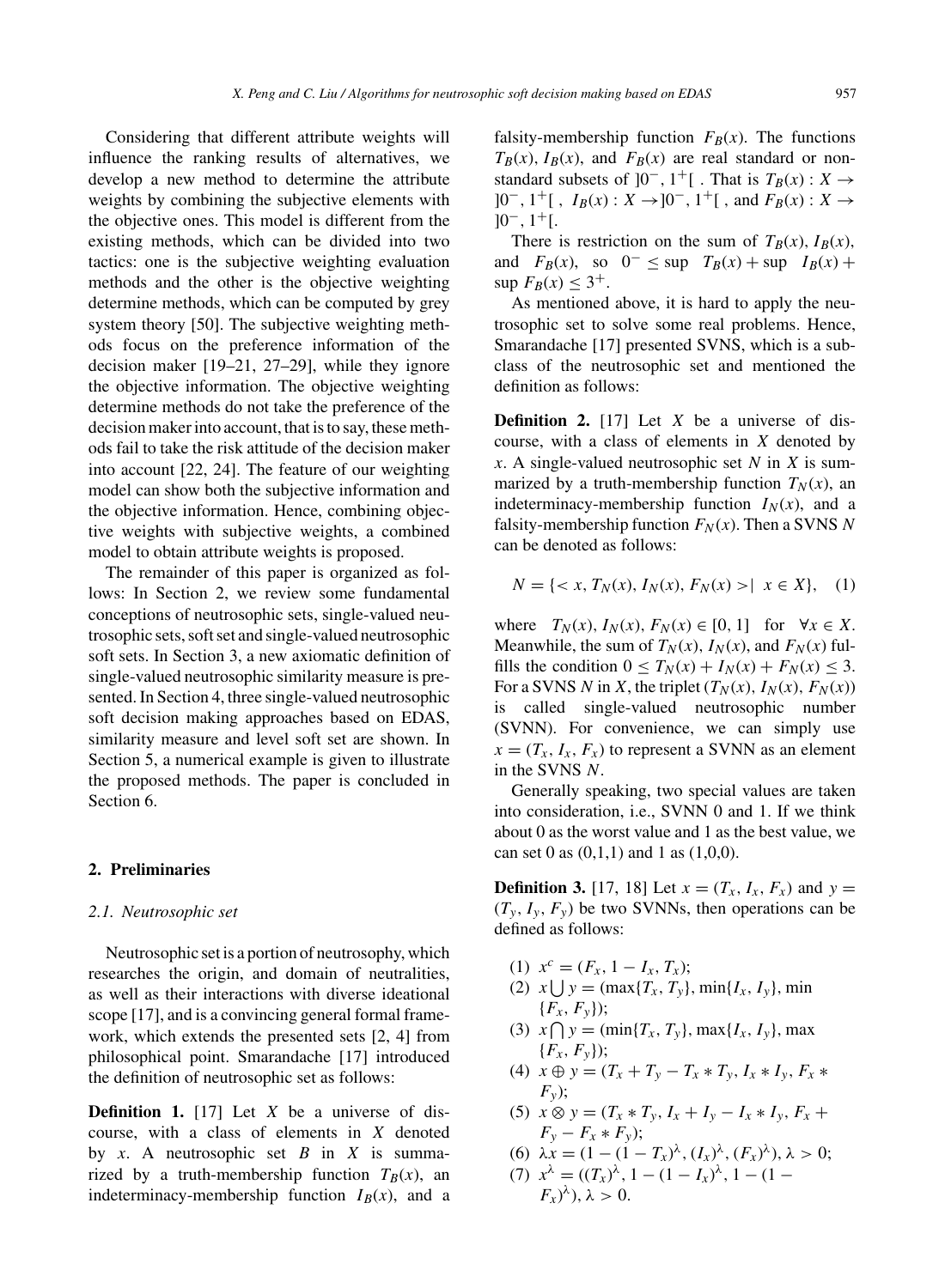Considering that different attribute weights will influence the ranking results of alternatives, we develop a new method to determine the attribute weights by combining the subjective elements with the objective ones. This model is different from the existing methods, which can be divided into two tactics: one is the subjective weighting evaluation methods and the other is the objective weighting determine methods, which can be computed by grey system theory [50]. The subjective weighting methods focus on the preference information of the decision maker [19–21, 27–29], while they ignore the objective information. The objective weighting determine methods do not take the preference of the decision maker into account, that is to say, these methods fail to take the risk attitude of the decision maker into account [22, 24]. The feature of our weighting model can show both the subjective information and the objective information. Hence, combining objective weights with subjective weights, a combined model to obtain attribute weights is proposed.

The remainder of this paper is organized as follows: In Section 2, we review some fundamental conceptions of neutrosophic sets, single-valued neutrosophic sets, soft set and single-valued neutrosophic soft sets. In Section 3, a new axiomatic definition of single-valued neutrosophic similarity measure is presented. In Section 4, three single-valued neutrosophic soft decision making approaches based on EDAS, similarity measure and level soft set are shown. In Section 5, a numerical example is given to illustrate the proposed methods. The paper is concluded in Section 6.

## **2. Preliminaries**

#### *2.1. Neutrosophic set*

Neutrosophic set is a portion of neutrosophy, which researches the origin, and domain of neutralities, as well as their interactions with diverse ideational scope [17], and is a convincing general formal framework, which extends the presented sets [2, 4] from philosophical point. Smarandache [17] introduced the definition of neutrosophic set as follows:

**Definition 1.** [17] Let X be a universe of discourse, with a class of elements in X denoted by  $x$ . A neutrosophic set  $B$  in  $X$  is summarized by a truth-membership function  $T_B(x)$ , an indeterminacy-membership function  $I_B(x)$ , and a

falsity-membership function  $F_B(x)$ . The functions  $T_B(x)$ ,  $I_B(x)$ , and  $F_B(x)$  are real standard or nonstandard subsets of ]0<sup>-</sup>, 1<sup>+</sup>[. That is  $T_B(x)$  :  $X \rightarrow$  $[0^-, 1^+]$ ,  $I_B(x) : X \rightarrow [0^-, 1^+]$ , and  $F_B(x) : X \rightarrow$  $10^{-}$ ,  $1^{+}$ [.

There is restriction on the sum of  $T_B(x)$ ,  $I_B(x)$ , and  $F_B(x)$ , so  $0^- \leq \sup T_B(x) + \sup I_B(x) +$ sup  $F_B(x) \leq 3^+$ .

As mentioned above, it is hard to apply the neutrosophic set to solve some real problems. Hence, Smarandache [17] presented SVNS, which is a subclass of the neutrosophic set and mentioned the definition as follows:

**Definition 2.** [17] Let  $X$  be a universe of discourse, with a class of elements in  $X$  denoted by x. A single-valued neutrosophic set N in X is summarized by a truth-membership function  $T_N(x)$ , an indeterminacy-membership function  $I_N(x)$ , and a falsity-membership function  $F_N(x)$ . Then a SVNS N can be denoted as follows:

$$
N = \{ < x, T_N(x), I_N(x), F_N(x) > | \ x \in X \}, \quad (1)
$$

where  $T_N(x)$ ,  $I_N(x)$ ,  $F_N(x) \in [0, 1]$  for  $\forall x \in X$ . Meanwhile, the sum of  $T_N(x)$ ,  $I_N(x)$ , and  $F_N(x)$  fulfills the condition  $0 \leq T_N(x) + I_N(x) + F_N(x) \leq 3$ . For a SVNS N in X, the triplet  $(T_N(x), I_N(x), F_N(x))$ is called single-valued neutrosophic number (SVNN). For convenience, we can simply use  $x = (T_x, I_x, F_x)$  to represent a SVNN as an element in the SVNS N.

Generally speaking, two special values are taken into consideration, i.e., SVNN 0 and 1. If we think about 0 as the worst value and 1 as the best value, we can set 0 as  $(0,1,1)$  and 1 as  $(1,0,0)$ .

**Definition 3.** [17, 18] Let  $x = (T_x, I_x, F_x)$  and  $y =$  $(T_v, I_v, F_v)$  be two SVNNs, then operations can be defined as follows:

- (1)  $x^c = (F_x, 1 I_x, T_x);$
- (2)  $x \bigcup y = (\max\{T_x, T_y\}, \min\{I_x, I_y\}, \min$  ${F_x, F_y}$ ;
- (3)  $x \bigcap y = (\min\{T_x, T_y\}, \max\{I_x, I_y\}, \max$  ${F_x, F_y}$ ;
- (4)  $x \oplus y = (T_x + T_y T_x * T_y, I_x * I_y, F_x *$  $F_{v}$ );
- (5)  $x \otimes y = (T_x * T_y, I_x + I_y I_x * I_y, F_x +$  $F_y - F_x * F_y);$
- (6)  $\lambda x = (1 (1 T_x)^{\lambda}, (I_x)^{\lambda}, (F_x)^{\lambda}), \lambda > 0;$
- (7)  $x^{\lambda} = ((T_x)^{\lambda}, 1 (1 I_x)^{\lambda}, 1 (1 (F_x)^\lambda$ ,  $\lambda > 0$ .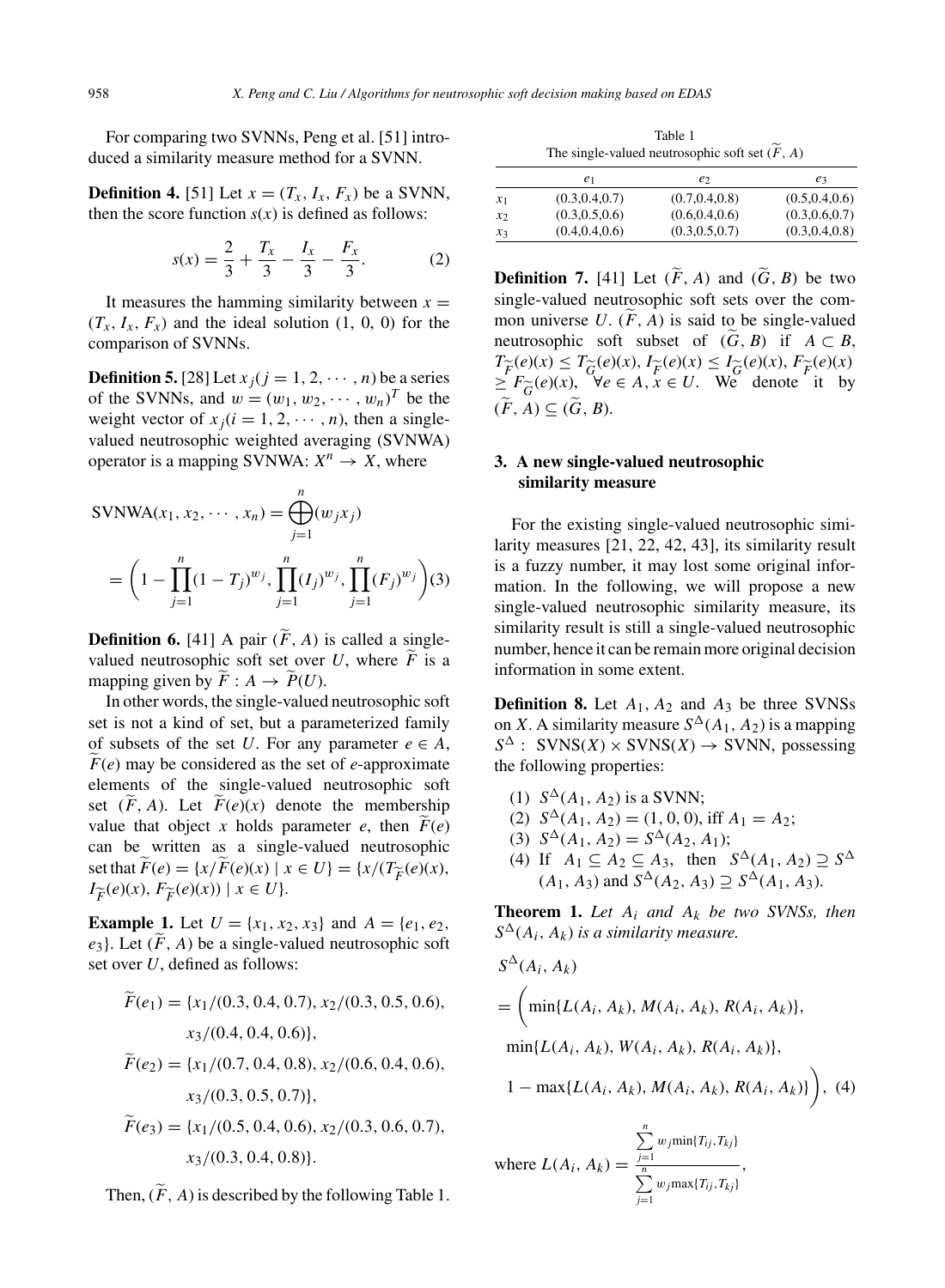For comparing two SVNNs, Peng et al. [51] introduced a similarity measure method for a SVNN.

**Definition 4.** [51] Let  $x = (T_x, I_x, F_x)$  be a SVNN, then the score function  $s(x)$  is defined as follows:

$$
s(x) = \frac{2}{3} + \frac{T_x}{3} - \frac{I_x}{3} - \frac{F_x}{3}.
$$
 (2)

It measures the hamming similarity between  $x =$  $(T_x, I_x, F_x)$  and the ideal solution  $(1, 0, 0)$  for the comparison of SVNNs.

**Definition 5.** [28] Let  $x_j$  ( $j = 1, 2, \dots, n$ ) be a series of the SVNNs, and  $w = (w_1, w_2, \cdots, w_n)^T$  be the weight vector of  $x_i(i = 1, 2, \dots, n)$ , then a singlevalued neutrosophic weighted averaging (SVNWA) operator is a mapping SVNWA:  $X^n \rightarrow X$ , where

$$
SVMWA(x_1, x_2, \cdots, x_n) = \bigoplus_{j=1}^n (w_j x_j)
$$
  
=  $\left(1 - \prod_{j=1}^n (1 - T_j)^{w_j}, \prod_{j=1}^n (I_j)^{w_j}, \prod_{j=1}^n (F_j)^{w_j}\right)(3)$ 

**Definition 6.** [41] A pair  $(\widetilde{F}, A)$  is called a singlevalued neutrosophic soft set over U, where  $\tilde{F}$  is a mapping given by  $\widetilde{F}: A \to \widetilde{P}(U)$ .

In other words, the single-valued neutrosophic soft set is not a kind of set, but a parameterized family of subsets of the set U. For any parameter  $e \in A$ ,  $F(e)$  may be considered as the set of e-approximate elements of the single-valued neutrosophic soft set  $(\widetilde{F}, A)$ . Let  $\widetilde{F}(e)(x)$  denote the membership value that object x holds parameter e, then  $F(e)$ can be written as a single-valued neutrosophic set that  $\widetilde{F}(e) = \{x/F(e)(x) \mid x \in U\} = \{x/(T_{\widetilde{F}}(e)(x)),$  $I_{\widetilde{F}}(e)(x), F_{\widetilde{F}}(e)(x)) \mid x \in U$ .

**Example 1.** Let  $U = \{x_1, x_2, x_3\}$  and  $A = \{e_1, e_2, e_3\}$  $e_3$ . Let  $(\tilde{F}, A)$  be a single-valued neutrosophic soft set over U, defined as follows:

$$
\widetilde{F}(e_1) = \{x_1/(0.3, 0.4, 0.7), x_2/(0.3, 0.5, 0.6),
$$
  
\n
$$
x_3/(0.4, 0.4, 0.6)\},
$$
  
\n
$$
\widetilde{F}(e_2) = \{x_1/(0.7, 0.4, 0.8), x_2/(0.6, 0.4, 0.6),
$$
  
\n
$$
x_3/(0.3, 0.5, 0.7)\},
$$
  
\n
$$
\widetilde{F}(e_3) = \{x_1/(0.5, 0.4, 0.6), x_2/(0.3, 0.6, 0.7),
$$
  
\n
$$
x_3/(0.3, 0.4, 0.8)\}.
$$

Then,  $(\widetilde{F}, A)$  is described by the following Table 1.

Table 1 The single-valued neutrosophic soft set  $(\widetilde{F},A)$ 

|       | e1              | e2              | $e_3$           |
|-------|-----------------|-----------------|-----------------|
| $x_1$ | (0.3, 0.4, 0.7) | (0.7, 0.4, 0.8) | (0.5, 0.4, 0.6) |
| $x_2$ | (0.3, 0.5, 0.6) | (0.6, 0.4, 0.6) | (0.3, 0.6, 0.7) |
| $x_3$ | (0.4, 0.4, 0.6) | (0.3, 0.5, 0.7) | (0.3, 0.4, 0.8) |

**Definition 7.** [41] Let  $(\widetilde{F}, A)$  and  $(\widetilde{G}, B)$  be two single-valued neutrosophic soft sets over the common universe U.  $(F, A)$  is said to be single-valued neutrosophic soft subset of  $(G, B)$  if  $A \subset B$ ,  $T_{\widetilde{F}}(e)(x) \leq T_{\widetilde{G}}(e)(x), I_{\widetilde{F}}(e)(x) \leq I_{\widetilde{G}}(e)(x), F_{\widetilde{F}}(e)(x) \geq F_{\widetilde{G}}(e)(x), \forall e \in A, x \in U.$  We denote it by  $\geq F_{\widetilde{G}}(e)(x), \forall e \in A, x \in U.$  We denote it by<br>  $(F \mid A) \subset (\widetilde{G} \mid B)$  $(\widetilde{F}, A) \subseteq (\widetilde{G}, B)$ .

# **3. A new single-valued neutrosophic similarity measure**

For the existing single-valued neutrosophic similarity measures [21, 22, 42, 43], its similarity result is a fuzzy number, it may lost some original information. In the following, we will propose a new single-valued neutrosophic similarity measure, its similarity result is still a single-valued neutrosophic number, hence it can be remain more original decision information in some extent.

**Definition 8.** Let  $A_1$ ,  $A_2$  and  $A_3$  be three SVNSs on X. A similarity measure  $S^{\Delta}(A_1, A_2)$  is a mapping  $S^{\Delta}$ : SVNS(X) × SVNS(X) → SVNN, possessing the following properties:

- (1)  $S^{\Delta}(A_1, A_2)$  is a SVNN;
- (2)  $S^{\Delta}(A_1, A_2) = (1, 0, 0), \text{ iff } A_1 = A_2;$
- (3)  $S^{\Delta}(A_1, A_2) = S^{\Delta}(A_2, A_1);$
- (4) If  $A_1 \subseteq A_2 \subseteq A_3$ , then  $S^{\Delta}(A_1, A_2) \supseteq S^{\Delta}$  $(A_1, A_3)$  and  $S^{\Delta}(A_2, A_3) \supseteq S^{\Delta}(A_1, A_3)$ .

**Theorem 1.** Let  $A_i$  and  $A_k$  be two SVNSs, then  $S^{\Delta}(A_i, A_k)$  *is a similarity measure.* 

$$
S^{\Delta}(A_i, A_k)
$$
  
=  $\left(\min\{L(A_i, A_k), M(A_i, A_k), R(A_i, A_k)\},\right.\$   

$$
\min\{L(A_i, A_k), W(A_i, A_k), R(A_i, A_k)\},\
$$
  

$$
1 - \max\{L(A_i, A_k), M(A_i, A_k), R(A_i, A_k)\}\right), (4)
$$

where  $L(A_i, A_k) =$  $\sum_{j=1}^n$  $w_j$ min{ $T_{ij}$ ,  $T_{kj}$ }  $\sum_{j=1}^n$  $w_j \max\{T_{ij},T_{ki}\}$ ,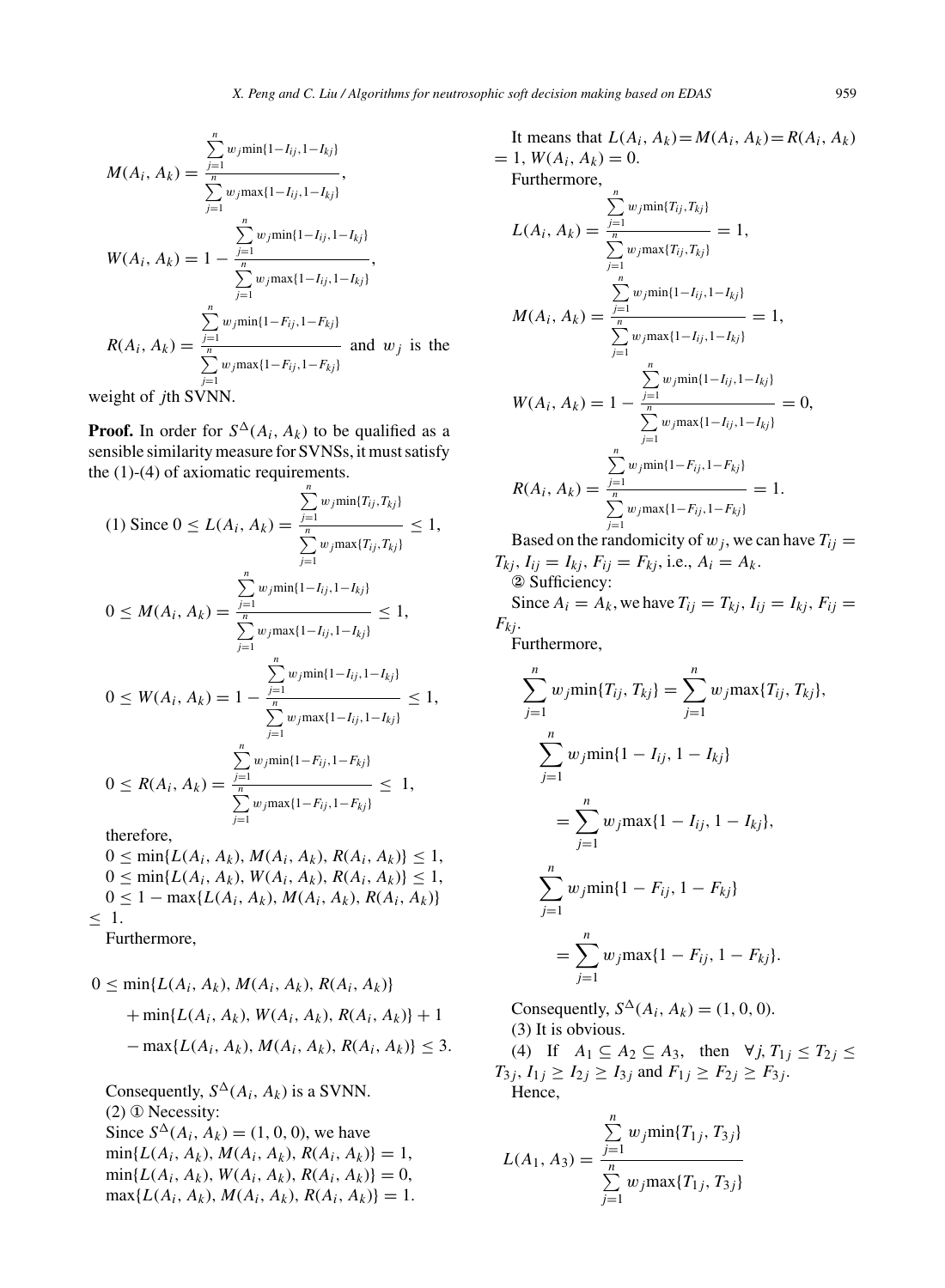$$
M(A_i, A_k) = \frac{\sum_{j=1}^{n} w_j \min\{1 - I_{ij}, 1 - I_{kj}\}}{\sum_{j=1}^{n} w_j \max\{1 - I_{ij}, 1 - I_{kj}\}}
$$
\n
$$
W(A_i, A_k) = 1 - \frac{\sum_{j=1}^{n} w_j \min\{1 - I_{ij}, 1 - I_{kj}\}}{\sum_{j=1}^{n} w_j \max\{1 - I_{ij}, 1 - I_{kj}\}}
$$
\n
$$
R(A_i, A_k) = \frac{\sum_{j=1}^{n} w_j \min\{1 - F_{ij}, 1 - F_{kj}\}}{\sum_{j=1}^{n} w_j \max\{1 - F_{ij}, 1 - F_{kj}\}}
$$
\n
$$
w \text{ eight of } j\text{th SVM.}
$$

**Proof.** In order for  $S^{\Delta}(A_i, A_k)$  to be qualified as a sensible similarity measure for SVNSs, it must satisfy the (1)-(4) of axiomatic requirements.

$$
(1) \text{ Since } 0 \le L(A_i, A_k) = \frac{\sum_{j=1}^{n} w_j \min\{T_{ij}, T_{kj}\}}{\sum_{j=1}^{n} w_j \max\{T_{ij}, T_{kj}\}} \le 1,
$$
\n
$$
0 \le M(A_i, A_k) = \frac{\sum_{j=1}^{n} w_j \min\{1 - I_{ij}, 1 - I_{kj}\}}{\sum_{j=1}^{n} w_j \max\{1 - I_{ij}, 1 - I_{kj}\}} \le 1,
$$
\n
$$
0 \le W(A_i, A_k) = 1 - \frac{\sum_{j=1}^{n} w_j \min\{1 - I_{ij}, 1 - I_{kj}\}}{\sum_{j=1}^{n} w_j \max\{1 - I_{ij}, 1 - I_{kj}\}} \le 1,
$$
\n
$$
0 \le R(A_i, A_k) = \frac{\sum_{j=1}^{n} w_j \min\{1 - F_{ij}, 1 - F_{kj}\}}{\sum_{j=1}^{n} w_j \max\{1 - F_{ij}, 1 - F_{kj}\}} \le 1,
$$
\ntherefore,

 $0 \le \min\{L(A_i, A_k), M(A_i, A_k), R(A_i, A_k)\} \le 1$  $0 \le \min\{L(A_i, A_k), W(A_i, A_k), R(A_i, A_k)\} \le 1$ ,  $0 \leq 1 - \max\{L(A_i, A_k), M(A_i, A_k), R(A_i, A_k)\}\$ ≤ 1. Furthermore,

$$
0 \le \min\{L(A_i, A_k), M(A_i, A_k), R(A_i, A_k)\} + \min\{L(A_i, A_k), W(A_i, A_k), R(A_i, A_k)\} + 1 - \max\{L(A_i, A_k), M(A_i, A_k), R(A_i, A_k)\} \le 3.
$$

Consequently,  $S^{\Delta}(A_i, A_k)$  is a SVNN. (2) ① Necessity: Since  $S^{\Delta}(A_i, A_k) = (1, 0, 0)$ , we have  $min\{L(A_i, A_k), M(A_i, A_k), R(A_i, A_k)\} = 1,$  $min{L(A_i, A_k), W(A_i, A_k), R(A_i, A_k)} = 0,$  $max{L(A_i, A_k), M(A_i, A_k), R(A_i, A_k)} = 1.$ 

It means that 
$$
L(A_i, A_k) = M(A_i, A_k) = R(A_i, A_k)
$$
  
\n
$$
= 1, W(A_i, A_k) = 0.
$$
  
\nFurthermore,  
\n
$$
\sum_{j=1}^{n} w_j \min\{T_{ij}, T_{kj}\}
$$
  
\n
$$
L(A_i, A_k) = \frac{\sum_{j=1}^{n} w_j \max\{T_{ij}, T_{kj}\}}{\sum_{j=1}^{n} w_j \min\{1 - I_{ij}, 1 - I_{kj}\}}
$$
  
\n
$$
M(A_i, A_k) = \frac{\sum_{j=1}^{n} w_j \min\{1 - I_{ij}, 1 - I_{kj}\}}{\sum_{j=1}^{n} w_j \max\{1 - I_{ij}, 1 - I_{kj}\}}
$$
  
\n
$$
W(A_i, A_k) = 1 - \frac{\sum_{j=1}^{n} w_j \min\{1 - I_{ij}, 1 - I_{kj}\}}{\sum_{j=1}^{n} w_j \max\{1 - I_{ij}, 1 - I_{kj}\}}
$$
  
\n
$$
R(A_i, A_k) = \frac{\sum_{j=1}^{n} w_j \min\{1 - F_{ij}, 1 - F_{kj}\}}{\sum_{j=1}^{n} w_j \max\{1 - F_{ij}, 1 - F_{kj}\}}
$$
  
\nBased on the randomicity of  $w_j$ , we can have  $T_{ij}$ 

 $T_{kj}$ ,  $I_{ij} = I_{kj}$ ,  $F_{ij} = F_{kj}$ , i.e.,  $A_i = A_k$ . ② Sufficiency:

Since  $A_i = A_k$ , we have  $T_{ij} = T_{ki}$ ,  $I_{ij} = I_{ki}$ ,  $F_{ij} =$  $F_{kj}$ .

Furthermore,

$$
\sum_{j=1}^{n} w_j \min\{T_{ij}, T_{kj}\} = \sum_{j=1}^{n} w_j \max\{T_{ij}, T_{kj}\},
$$
  
\n
$$
\sum_{j=1}^{n} w_j \min\{1 - I_{ij}, 1 - I_{kj}\}
$$
  
\n
$$
= \sum_{j=1}^{n} w_j \max\{1 - I_{ij}, 1 - I_{kj}\},
$$
  
\n
$$
\sum_{j=1}^{n} w_j \min\{1 - F_{ij}, 1 - F_{kj}\}
$$
  
\n
$$
= \sum_{j=1}^{n} w_j \max\{1 - F_{ij}, 1 - F_{kj}\}.
$$

Consequently,  $S^{\Delta}(A_i, A_k) = (1, 0, 0)$ . (3) It is obvious.

(4) If  $A_1 \subseteq A_2 \subseteq A_3$ , then  $\forall j, T_{1j} \leq T_{2j} \leq$  $T_{3j}, I_{1j} \geq I_{2j} \geq I_{3j}$  and  $F_{1j} \geq F_{2j} \geq F_{3j}$ . Hence,

$$
L(A_1, A_3) = \frac{\sum_{j=1}^{n} w_j \min\{T_{1j}, T_{3j}\}}{\sum_{j=1}^{n} w_j \max\{T_{1j}, T_{3j}\}}
$$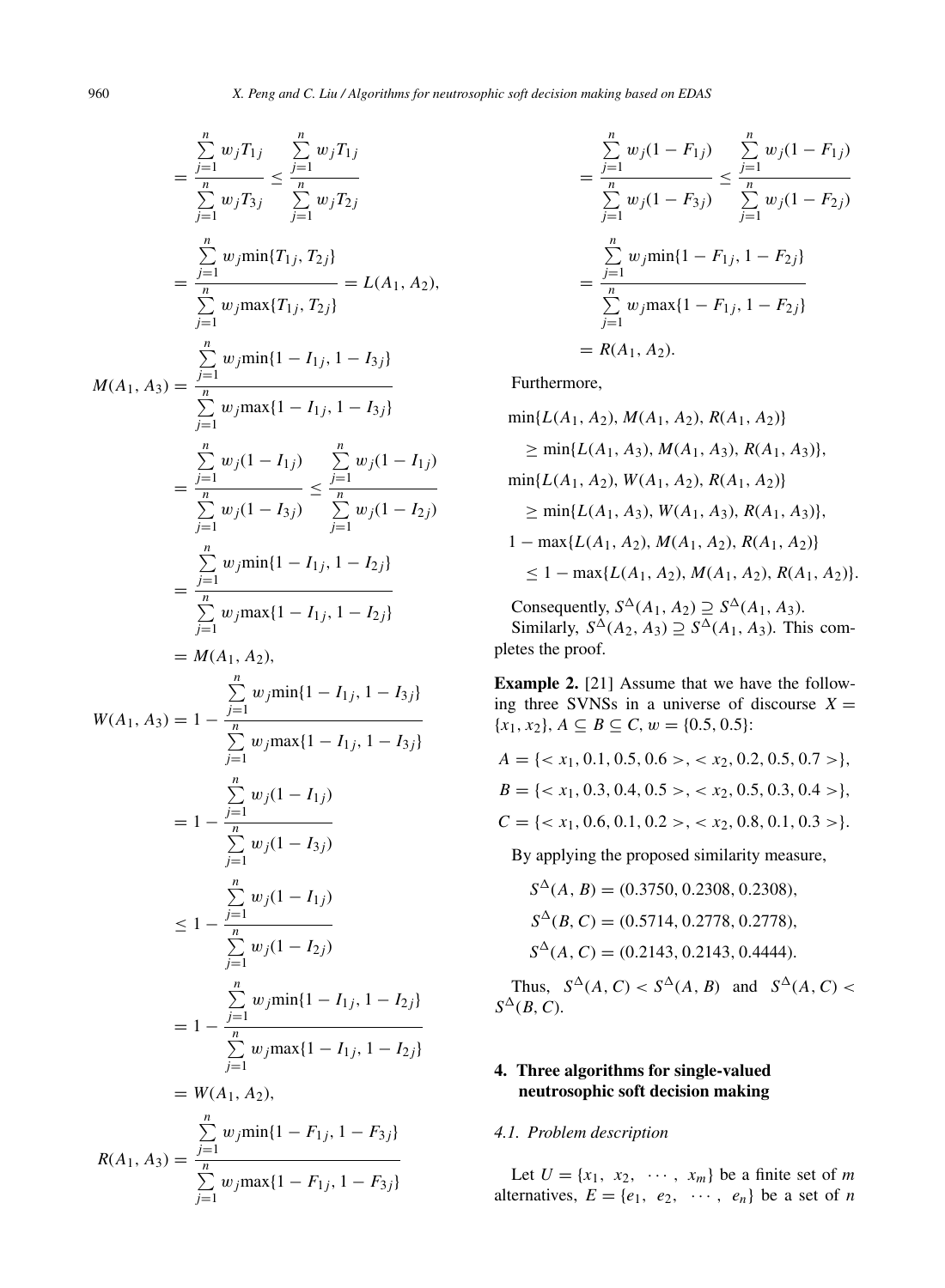n

 n

$$
\sum_{j=1}^{n} w_j T_{1j} \sum_{j=1}^{n} w_j T_{1j}
$$
\n
$$
= \frac{\sum_{j=1}^{n} w_j T_{1j}}{\sum_{j=1}^{n} w_j T_{2j}} = \frac{\sum_{j=1}^{n} w_j T_{2j}}{\sum_{j=1}^{n} w_j T_{3j}} = L(A_1, A_2),
$$
\n
$$
= \frac{\sum_{j=1}^{n} w_j \min\{T_{1j}, T_{2j}\}}{\sum_{j=1}^{n} w_j \max\{T_{1j}, T_{2j}\}} = L(A_1, A_2),
$$
\n
$$
M(A_1, A_3) = \frac{\sum_{j=1}^{n} w_j \min\{1 - I_{1j}, 1 - I_{3j}\}}{\sum_{j=1}^{n} w_j (1 - I_{1j})} = \frac{\sum_{j=1}^{n} w_j (1 - I_{1j})}{\sum_{j=1}^{n} w_j (1 - I_{3j})} \le \frac{\sum_{j=1}^{n} w_j (1 - I_{1j})}{\sum_{j=1}^{n} w_j \max\{1 - I_{1j}, 1 - I_{2j}\}} = \frac{\sum_{j=1}^{n} w_j \min\{1 - I_{1j}, 1 - I_{2j}\}}{\sum_{j=1}^{n} w_j \max\{1 - I_{1j}, 1 - I_{3j}\}}
$$
\n
$$
W(A_1, A_3) = 1 - \frac{\sum_{j=1}^{n} w_j \min\{1 - I_{1j}, 1 - I_{3j}\}}{\sum_{j=1}^{n} w_j \max\{1 - I_{1j}, 1 - I_{3j}\}}
$$
\n
$$
= 1 - \frac{\sum_{j=1}^{n} w_j (1 - I_{1j})}{\sum_{j=1}^{n} w_j (1 - I_{2j})}
$$
\n
$$
= 1 - \frac{\sum_{j=1}^{n} w_j \min\{1 - I_{1j}, 1 - I_{2j}\}}{\sum_{j=1}^{n} w_j \min\{1 - I_{1j}, 1 - I_{2j}\}}
$$
\n
$$
= W(A_1, A_2),
$$
\n
$$
\sum_{j=1}^{n} w_j \max\{1 - I_{1j}, 1 - I_{3j}\}
$$
\n
$$
R(A_1, A_3) = \frac{\sum_{j=1}
$$

$$
= \frac{\sum_{j=1}^{n} w_j (1 - F_{1j})}{\sum_{j=1}^{n} w_j (1 - F_{3j})} \le \frac{\sum_{j=1}^{n} w_j (1 - F_{1j})}{\sum_{j=1}^{n} w_j (1 - F_{2j})}
$$

$$
= \frac{\sum_{j=1}^{n} w_j \min\{1 - F_{1j}, 1 - F_{2j}\}}{\sum_{j=1}^{n} w_j \max\{1 - F_{1j}, 1 - F_{2j}\}}
$$

$$
= R(A_1, A_2).
$$

Furthermore,

 $min{L(A_1, A_2), M(A_1, A_2), R(A_1, A_2)}$  $> min\{L(A_1, A_3), M(A_1, A_3), R(A_1, A_3)\},$  $min{L(A_1, A_2), W(A_1, A_2), R(A_1, A_2)}$  $> min\{L(A_1, A_3), W(A_1, A_3), R(A_1, A_3)\},$  $1 - \max\{L(A_1, A_2), M(A_1, A_2), R(A_1, A_2)\}\$  $\leq 1 - \max\{L(A_1, A_2), M(A_1, A_2), R(A_1, A_2)\}.$ 

Consequently,  $S^{\Delta}(A_1, A_2) \supseteq S^{\Delta}(A_1, A_3)$ . Similarly,  $S^{\Delta}(A_2, A_3) \supseteq S^{\Delta}(A_1, A_3)$ . This completes the proof.

**Example 2.** [21] Assume that we have the following three SVNSs in a universe of discourse  $X =$  $\{x_1, x_2\}, A \subseteq B \subseteq C, w = \{0.5, 0.5\}$ :

$$
A = \{ < x_1, 0.1, 0.5, 0.6 > \, < x_2, 0.2, 0.5, 0.7 > \},
$$
\n
$$
B = \{ < x_1, 0.3, 0.4, 0.5 > \, < x_2, 0.5, 0.3, 0.4 > \},
$$
\n
$$
C = \{ < x_1, 0.6, 0.1, 0.2 > \, < x_2, 0.8, 0.1, 0.3 > \}.
$$

By applying the proposed similarity measure,

 $S^{\Delta}(A, B) = (0.3750, 0.2308, 0.2308)$  $S^{\Delta}(B, C) = (0.5714, 0.2778, 0.2778),$  $S^{\Delta}(A, C) = (0.2143, 0.2143, 0.4444).$ 

Thus,  $S^{\Delta}(A, C) < S^{\Delta}(A, B)$  and  $S^{\Delta}(A, C)$  $S^{\Delta}(B, C)$ .

# **4. Three algorithms for single-valued neutrosophic soft decision making**

#### *4.1. Problem description*

Let  $U = \{x_1, x_2, \cdots, x_m\}$  be a finite set of m alternatives,  $E = \{e_1, e_2, \cdots, e_n\}$  be a set of n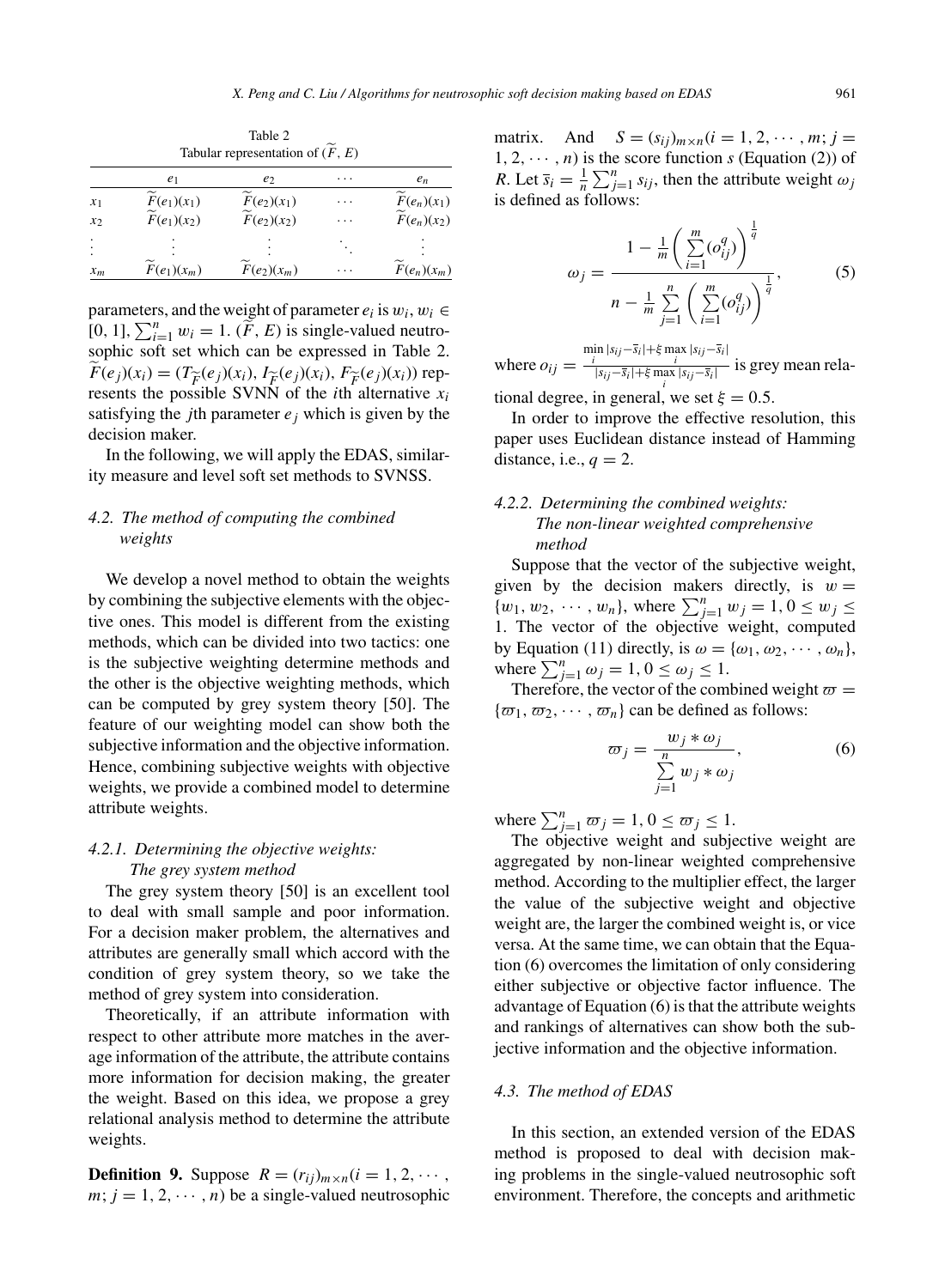|                    | e1                        | e                         | . | $e_n$                     |
|--------------------|---------------------------|---------------------------|---|---------------------------|
| $x_1$              | $F(e_1)(x_1)$             | $F(e_2)(x_1)$             | . | $F(e_n)(x_1)$             |
| x <sub>2</sub>     | $\widetilde{F}(e_1)(x_2)$ | $\widetilde{F}(e_2)(x_2)$ | . | $\widetilde{F}(e_n)(x_2)$ |
| $\cdot$<br>$\cdot$ |                           |                           |   |                           |
| $x_m$              | $F(e_1)(x_m)$             | $F(e_2)(x_m)$             | . | $F(e_n)(x_m)$             |

Table 2 Tabular representation of  $(\widetilde{F}, E)$ 

parameters, and the weight of parameter  $e_i$  is  $w_i, w_i \in$ [0, 1],  $\sum_{i=1}^{n} w_i = 1$ . ( $\widetilde{F}$ , E) is single-valued neutrosophic soft set which can be expressed in Table 2.  $F(e_i)(x_i) = (T_{\widetilde{F}}(e_i)(x_i), I_{\widetilde{F}}(e_i)(x_i), F_{\widetilde{F}}(e_i)(x_i))$  represents the possible SVNN of the *i*th alternative  $x_i$ satisfying the *j*th parameter  $e_i$  which is given by the decision maker.

In the following, we will apply the EDAS, similarity measure and level soft set methods to SVNSS.

## *4.2. The method of computing the combined weights*

We develop a novel method to obtain the weights by combining the subjective elements with the objective ones. This model is different from the existing methods, which can be divided into two tactics: one is the subjective weighting determine methods and the other is the objective weighting methods, which can be computed by grey system theory [50]. The feature of our weighting model can show both the subjective information and the objective information. Hence, combining subjective weights with objective weights, we provide a combined model to determine attribute weights.

# *4.2.1. Determining the objective weights: The grey system method*

The grey system theory [50] is an excellent tool to deal with small sample and poor information. For a decision maker problem, the alternatives and attributes are generally small which accord with the condition of grey system theory, so we take the method of grey system into consideration.

Theoretically, if an attribute information with respect to other attribute more matches in the average information of the attribute, the attribute contains more information for decision making, the greater the weight. Based on this idea, we propose a grey relational analysis method to determine the attribute weights.

**Definition 9.** Suppose  $R = (r_{ij})_{m \times n}$  ( $i = 1, 2, \cdots$ ,  $m; j = 1, 2, \dots, n$  be a single-valued neutrosophic matrix. And  $S = (s_{ij})_{m \times n} (i = 1, 2, \cdots, m; j =$  $1, 2, \dots, n$  is the score function s (Equation (2)) of *R*. Let  $\overline{s_i} = \frac{1}{n} \sum_{j=1}^n s_{ij}$ , then the attribute weight  $\omega_j$ is defined as follows:

$$
\omega_{j} = \frac{1 - \frac{1}{m} \left( \sum_{i=1}^{m} (o_{ij}^{q}) \right)^{\frac{1}{q}}}{n - \frac{1}{m} \sum_{j=1}^{n} \left( \sum_{i=1}^{m} (o_{ij}^{q}) \right)^{\frac{1}{q}}},
$$
(5)

where  $o_{ij} = \frac{\min |s_{ij} - \bar{s}_i| + \xi \max |s_{ij} - \bar{s}_i|}{\frac{|\bar{s}_{ij} - \bar{s}_i| + \xi \max |s_{ij} - \bar{s}_i|}{\sqrt{|\bar{s}_{ij} - \bar{s}_i| + \xi \max |s_{ij} - \bar{s}_i|}}$  $\frac{1}{|s_{ij}-\overline{s}_i|+\xi \max_i |s_{ij}-\overline{s}_i|}$  is grey mean rela-

tional degree, in general, we set  $\xi = 0.5$ .

In order to improve the effective resolution, this paper uses Euclidean distance instead of Hamming distance, i.e.,  $q = 2$ .

# *4.2.2. Determining the combined weights: The non-linear weighted comprehensive method*

Suppose that the vector of the subjective weight, given by the decision makers directly, is  $w =$  ${w_1, w_2, \dots, w_n}$ , where  $\sum_{j=1}^n w_j = 1, 0 \le w_j \le$ 1. The vector of the objective weight, computed by Equation (11) directly, is  $\omega = {\omega_1, \omega_2, \cdots, \omega_n}$ , where  $\sum_{j=1}^{n} \omega_j = 1, 0 \le \omega_j \le 1$ .

Therefore, the vector of the combined weight  $\varpi =$  ${\lbrace \varpi_1, \varpi_2, \cdots, \varpi_n \rbrace}$  can be defined as follows:

$$
\overline{\omega}_{j} = \frac{w_{j} * \omega_{j}}{\sum\limits_{j=1}^{n} w_{j} * \omega_{j}},
$$
\n(6)

where  $\sum_{j=1}^{n} \overline{\omega}_j = 1, 0 \le \overline{\omega}_j \le 1.$ 

The objective weight and subjective weight are aggregated by non-linear weighted comprehensive method. According to the multiplier effect, the larger the value of the subjective weight and objective weight are, the larger the combined weight is, or vice versa. At the same time, we can obtain that the Equation (6) overcomes the limitation of only considering either subjective or objective factor influence. The advantage of Equation (6) is that the attribute weights and rankings of alternatives can show both the subjective information and the objective information.

# *4.3. The method of EDAS*

In this section, an extended version of the EDAS method is proposed to deal with decision making problems in the single-valued neutrosophic soft environment. Therefore, the concepts and arithmetic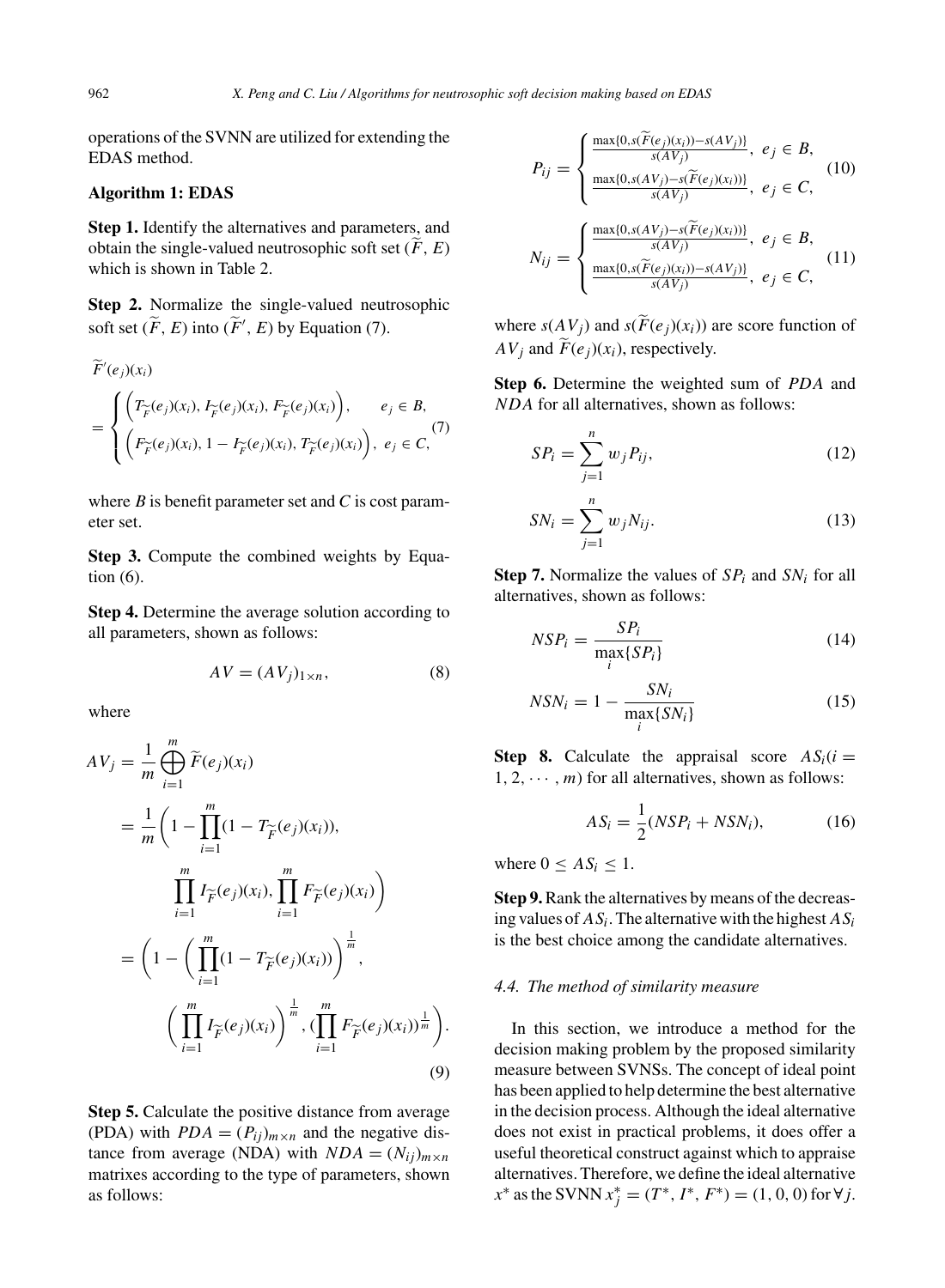operations of the SVNN are utilized for extending the EDAS method.

## **Algorithm 1: EDAS**

**Step 1.** Identify the alternatives and parameters, and obtain the single-valued neutrosophic soft set  $(F, E)$ which is shown in Table 2.

**Step 2.** Normalize the single-valued neutrosophic soft set  $(\widetilde{F}, E)$  into  $(\widetilde{F}', E)$  by Equation (7).

$$
\widetilde{F}'(e_j)(x_i) = \begin{cases}\n\left(T_{\widetilde{F}}(e_j)(x_i), I_{\widetilde{F}}(e_j)(x_i), F_{\widetilde{F}}(e_j)(x_i)\right), & e_j \in B, \\
\left(F_{\widetilde{F}}(e_j)(x_i), 1 - I_{\widetilde{F}}(e_j)(x_i), T_{\widetilde{F}}(e_j)(x_i)\right), & e_j \in C,\n\end{cases}
$$
\n(7)

where  $B$  is benefit parameter set and  $C$  is cost parameter set.

**Step 3.** Compute the combined weights by Equation (6).

**Step 4.** Determine the average solution according to all parameters, shown as follows:

$$
AV = (AVj)1×n, \t(8)
$$

where

$$
AV_j = \frac{1}{m} \bigoplus_{i=1}^{m} \widetilde{F}(e_j)(x_i)
$$
  
= 
$$
\frac{1}{m} \left(1 - \prod_{i=1}^{m} (1 - T_{\widetilde{F}}(e_j)(x_i)),\right)
$$
  

$$
\prod_{i=1}^{m} I_{\widetilde{F}}(e_j)(x_i), \prod_{i=1}^{m} F_{\widetilde{F}}(e_j)(x_i)\right)
$$
  
= 
$$
\left(1 - \left(\prod_{i=1}^{m} (1 - T_{\widetilde{F}}(e_j)(x_i))\right)^{\frac{1}{m}},\right)
$$
  

$$
\left(\prod_{i=1}^{m} I_{\widetilde{F}}(e_j)(x_i)\right)^{\frac{1}{m}}, \left(\prod_{i=1}^{m} F_{\widetilde{F}}(e_j)(x_i)\right)^{\frac{1}{m}}\right).
$$
  
(9)

**Step 5.** Calculate the positive distance from average (PDA) with  $PDA = (P_{ij})_{m \times n}$  and the negative distance from average (NDA) with  $NDA = (N_{ij})_{m \times n}$ matrixes according to the type of parameters, shown as follows:

$$
P_{ij} = \begin{cases} \frac{\max\{0, s(\widetilde{F}(e_j)(x_i)) - s(AV_j)\}}{s(AV_j)}, & e_j \in B, \\ \frac{\max\{0, s(AV_j) - s(\widetilde{F}(e_j)(x_i))\}}{s(AV_j)}, & e_j \in C, \end{cases}
$$
(10)

$$
N_{ij} = \begin{cases} \frac{\max\{0, s(AV_j) - s(F(e_j)(x_i))\}}{s(AV_j)}, & e_j \in B, \\ \frac{\max\{0, s(F(e_j)(x_i)) - s(AV_j)\}}{s(AV_j)}, & e_j \in C, \end{cases}
$$
(11)

where  $s(AV_i)$  and  $s(\widetilde{F}(e_i)(x_i))$  are score function of  $AV_i$  and  $\widetilde{F}(e_i)(x_i)$ , respectively.

**Step 6.** Determine the weighted sum of PDA and NDA for all alternatives, shown as follows:

$$
SP_i = \sum_{j=1}^{n} w_j P_{ij}, \qquad (12)
$$

$$
SN_{i} = \sum_{j=1}^{n} w_{j} N_{ij}.
$$
 (13)

**Step 7.** Normalize the values of  $SP_i$  and  $SN_i$  for all alternatives, shown as follows:

$$
NSP_i = \frac{SP_i}{\max_i \{SP_i\}}\tag{14}
$$

$$
NSN_i = 1 - \frac{SN_i}{\max_i \{SN_i\}}\tag{15}
$$

**Step 8.** Calculate the appraisal score  $AS_i(i =$  $1, 2, \cdots, m$  for all alternatives, shown as follows:

$$
AS_i = \frac{1}{2}(NSP_i + NSN_i),\tag{16}
$$

where  $0 \leq AS_i \leq 1$ .

**Step 9.**Rank the alternatives by means of the decreasing values of  $AS_i$ . The alternative with the highest  $AS_i$ is the best choice among the candidate alternatives.

## *4.4. The method of similarity measure*

In this section, we introduce a method for the decision making problem by the proposed similarity measure between SVNSs. The concept of ideal point has been applied to help determine the best alternative in the decision process. Although the ideal alternative does not exist in practical problems, it does offer a useful theoretical construct against which to appraise alternatives. Therefore, we define the ideal alternative  $x^*$  as the SVNN  $x_j^* = (T^*, I^*, F^*) = (1, 0, 0)$  for  $\forall j$ .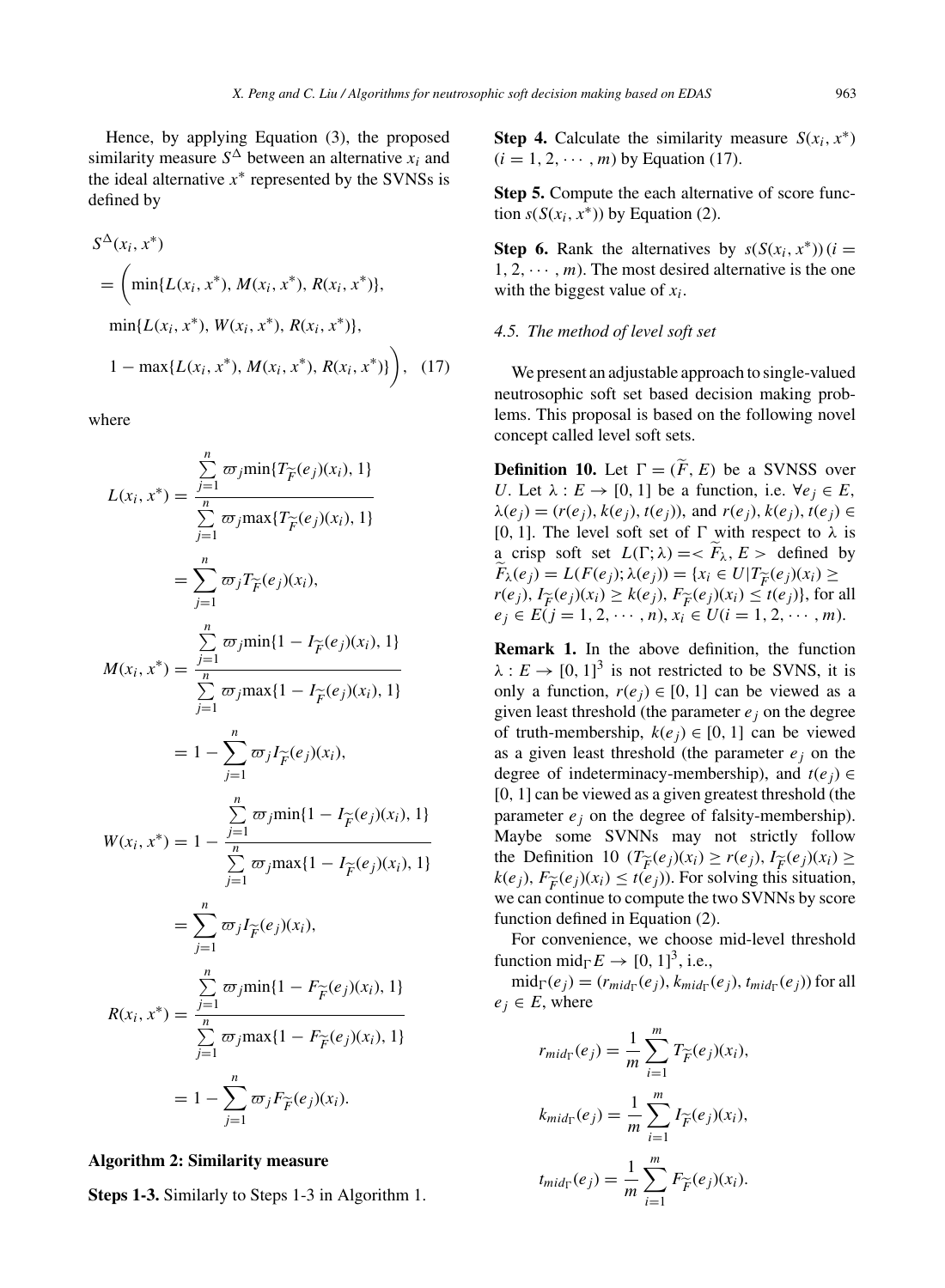Hence, by applying Equation (3), the proposed similarity measure  $S^{\Delta}$  between an alternative  $x_i$  and the ideal alternative  $x^*$  represented by the SVNSs is defined by

$$
S^{\Delta}(x_i, x^*)
$$
  
=  $\left(\min\{L(x_i, x^*), M(x_i, x^*), R(x_i, x^*)\},\right.\$   

$$
\min\{L(x_i, x^*), W(x_i, x^*), R(x_i, x^*)\},\
$$
  

$$
1 - \max\{L(x_i, x^*), M(x_i, x^*), R(x_i, x^*)\}\right), (17)
$$

where

$$
L(x_i, x^*) = \frac{\sum_{j=1}^{n} \varpi_j \min\{T_{\widetilde{F}}(e_j)(x_i), 1\}}{\sum_{j=1}^{n} \varpi_j \max\{T_{\widetilde{F}}(e_j)(x_i), 1\}}
$$
  
\n
$$
= \sum_{j=1}^{n} \varpi_j T_{\widetilde{F}}(e_j)(x_i),
$$
  
\n
$$
M(x_i, x^*) = \frac{\sum_{j=1}^{n} \varpi_j \min\{1 - I_{\widetilde{F}}(e_j)(x_i), 1\}}{\sum_{j=1}^{n} \varpi_j \max\{1 - I_{\widetilde{F}}(e_j)(x_i), 1\}}
$$
  
\n
$$
= 1 - \sum_{j=1}^{n} \varpi_j I_{\widetilde{F}}(e_j)(x_i),
$$
  
\n
$$
W(x_i, x^*) = 1 - \frac{\sum_{j=1}^{n} \varpi_j \min\{1 - I_{\widetilde{F}}(e_j)(x_i), 1\}}{\sum_{j=1}^{n} \varpi_j \max\{1 - I_{\widetilde{F}}(e_j)(x_i), 1\}}
$$
  
\n
$$
= \sum_{j=1}^{n} \varpi_j I_{\widetilde{F}}(e_j)(x_i),
$$
  
\n
$$
R(x_i, x^*) = \frac{\sum_{j=1}^{n} \varpi_j \min\{1 - F_{\widetilde{F}}(e_j)(x_i), 1\}}{\sum_{j=1}^{n} \varpi_j \max\{1 - F_{\widetilde{F}}(e_j)(x_i), 1\}}
$$
  
\n
$$
= 1 - \sum_{j=1}^{n} \varpi_j F_{\widetilde{F}}(e_j)(x_i).
$$

## **Algorithm 2: Similarity measure**

**Steps 1-3.** Similarly to Steps 1-3 in Algorithm 1.

**Step 4.** Calculate the similarity measure  $S(x_i, x^*)$  $(i = 1, 2, \cdots, m)$  by Equation (17).

**Step 5.** Compute the each alternative of score function  $s(S(x_i, x^*))$  by Equation (2).

**Step 6.** Rank the alternatives by  $s(S(x_i, x^*))$  (*i* =  $1, 2, \cdots, m$ ). The most desired alternative is the one with the biggest value of  $x_i$ .

#### *4.5. The method of level soft set*

We present an adjustable approach to single-valued neutrosophic soft set based decision making problems. This proposal is based on the following novel concept called level soft sets.

**Definition 10.** Let  $\Gamma = (\tilde{F}, E)$  be a SVNSS over U. Let  $\lambda : E \to [0, 1]$  be a function, i.e.  $\forall e_i \in E$ ,  $\lambda(e_i) = (r(e_i), k(e_i), t(e_i))$ , and  $r(e_i), k(e_i), t(e_i) \in$ [0, 1]. The level soft set of  $\Gamma$  with respect to  $\lambda$  is a crisp soft set  $L(\Gamma; \lambda) = \langle F_{\lambda}, E \rangle$  defined by  $F_{\lambda}(e_j) = L(F(e_j); \lambda(e_j)) = \{x_i \in U | T_{\widetilde{F}}(e_j)(x_i) \geq$  $r(e_j)$ ,  $I_{\widetilde{F}}(e_j)(x_i) \geq k(e_j)$ ,  $F_{\widetilde{F}}(e_j)(x_i) \leq t(e_j)$ , for all  $e_j \in E(j = 1, 2, \cdots, n), x_i \in U(i = 1, 2, \cdots, m).$ 

**Remark 1.** In the above definition, the function  $\lambda: E \to [0, 1]^3$  is not restricted to be SVNS, it is only a function,  $r(e_j) \in [0, 1]$  can be viewed as a given least threshold (the parameter  $e_i$  on the degree of truth-membership,  $k(e_i) \in [0, 1]$  can be viewed as a given least threshold (the parameter  $e_i$  on the degree of indeterminacy-membership), and  $t(e_i) \in$ [0, 1] can be viewed as a given greatest threshold (the parameter  $e_i$  on the degree of falsity-membership). Maybe some SVNNs may not strictly follow the Definition 10  $(T_{\widetilde{F}}(e_j)(x_i) \ge r(e_j), I_{\widetilde{F}}(e_j)(x_i) \ge$  $k(e_i)$ ,  $F_{\widetilde{F}}(e_i)(x_i) \leq t(e_i)$ ). For solving this situation, we can continue to compute the two SVNNs by score function defined in Equation (2).

For convenience, we choose mid-level threshold function mid<sub> $\Gamma$ </sub> $E \rightarrow [0, 1]^3$ , i.e.,

 $mid_{\Gamma}(e_i) = (r_{mid_{\Gamma}}(e_i), k_{mid_{\Gamma}}(e_i), t_{mid_{\Gamma}}(e_i))$  for all  $e_i \in E$ , where

$$
r_{mid_{\Gamma}}(e_j) = \frac{1}{m} \sum_{i=1}^{m} T_{\widetilde{F}}(e_j)(x_i),
$$
  
\n
$$
k_{mid_{\Gamma}}(e_j) = \frac{1}{m} \sum_{i=1}^{m} I_{\widetilde{F}}(e_j)(x_i),
$$
  
\n
$$
t_{mid_{\Gamma}}(e_j) = \frac{1}{m} \sum_{i=1}^{m} F_{\widetilde{F}}(e_j)(x_i).
$$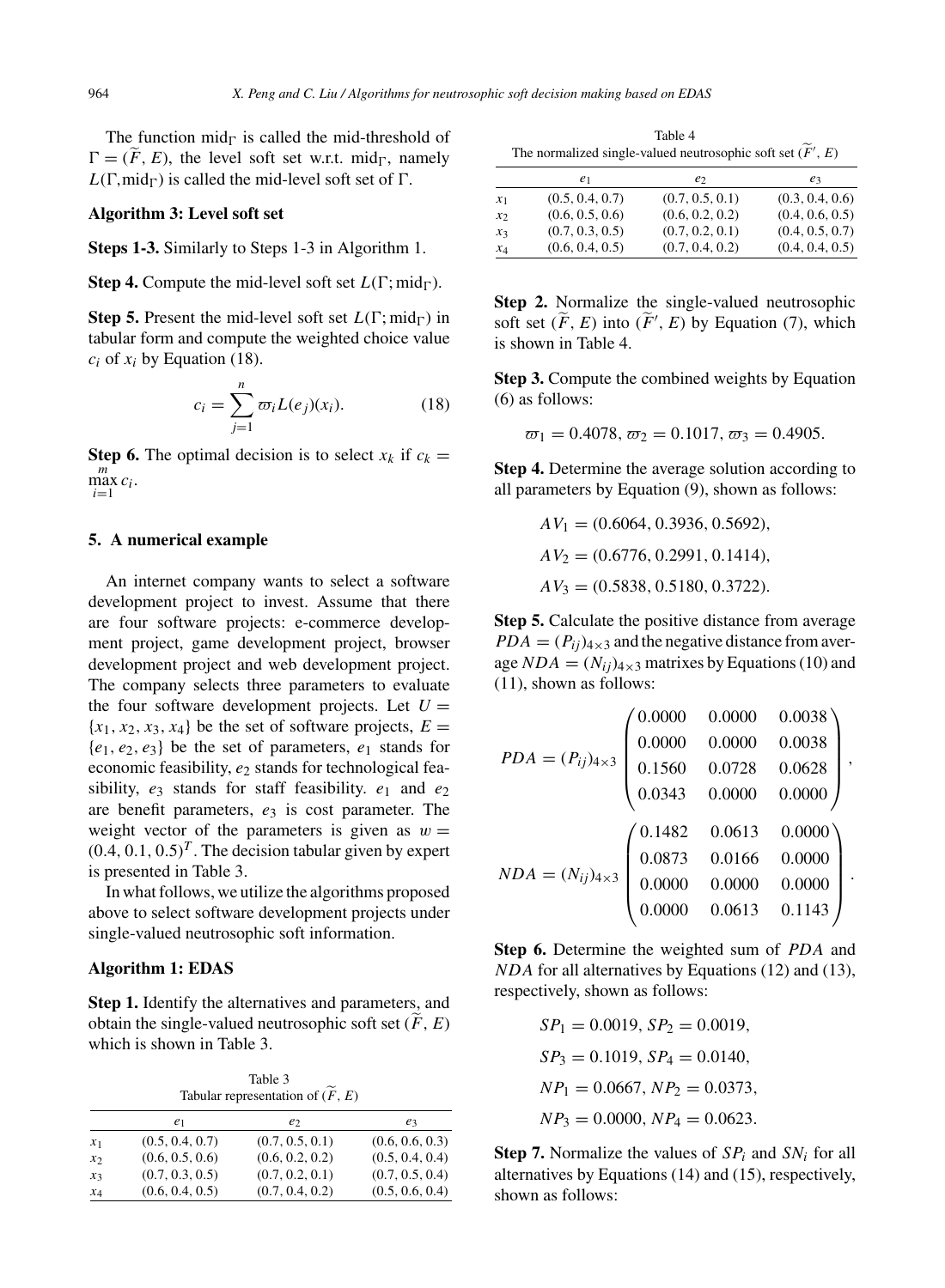The function mid $\Gamma$  is called the mid-threshold of  $\Gamma = (\widetilde{F}, E)$ , the level soft set w.r.t. mid<sub> $\Gamma$ </sub>, namely  $L(\Gamma, mid_{\Gamma})$  is called the mid-level soft set of  $\Gamma$ .

#### **Algorithm 3: Level soft set**

**Steps 1-3.** Similarly to Steps 1-3 in Algorithm 1.

**Step 4.** Compute the mid-level soft set  $L(\Gamma; \text{mid}_{\Gamma})$ .

**Step 5.** Present the mid-level soft set  $L(\Gamma; \text{mid}_{\Gamma})$  in tabular form and compute the weighted choice value  $c_i$  of  $x_i$  by Equation (18).

$$
c_i = \sum_{j=1}^{n} \overline{\omega}_i L(e_j)(x_i).
$$
 (18)

**Step 6.** The optimal decision is to select  $x_k$  if  $c_k =$  $\max_{i=1}^m c_i$ .

## **5. A numerical example**

An internet company wants to select a software development project to invest. Assume that there are four software projects: e-commerce development project, game development project, browser development project and web development project. The company selects three parameters to evaluate the four software development projects. Let  $U =$  ${x_1, x_2, x_3, x_4}$  be the set of software projects,  $E =$  ${e_1, e_2, e_3}$  be the set of parameters,  $e_1$  stands for economic feasibility,  $e_2$  stands for technological feasibility,  $e_3$  stands for staff feasibility.  $e_1$  and  $e_2$ are benefit parameters,  $e_3$  is cost parameter. The weight vector of the parameters is given as  $w =$  $(0.4, 0.1, 0.5)^T$ . The decision tabular given by expert is presented in Table 3.

In what follows, we utilize the algorithms proposed above to select software development projects under single-valued neutrosophic soft information.

## **Algorithm 1: EDAS**

**Step 1.** Identify the alternatives and parameters, and obtain the single-valued neutrosophic soft set  $(F, E)$ which is shown in Table 3.

Table 3 Tabular representation of  $(\widetilde{F},E)$ 

|       | e1              | e <sub>2</sub>  | eз              |
|-------|-----------------|-----------------|-----------------|
| $x_1$ | (0.5, 0.4, 0.7) | (0.7, 0.5, 0.1) | (0.6, 0.6, 0.3) |
| $x_2$ | (0.6, 0.5, 0.6) | (0.6, 0.2, 0.2) | (0.5, 0.4, 0.4) |
| $x_3$ | (0.7, 0.3, 0.5) | (0.7, 0.2, 0.1) | (0.7, 0.5, 0.4) |
| $x_4$ | (0.6, 0.4, 0.5) | (0.7, 0.4, 0.2) | (0.5, 0.6, 0.4) |

Table 4 The normalized single-valued neutrosophic soft set  $(F', E)$ 

|       | e <sub>1</sub>  | e <sub>2</sub>  | $e_3$           |
|-------|-----------------|-----------------|-----------------|
|       |                 |                 |                 |
| $x_1$ | (0.5, 0.4, 0.7) | (0.7, 0.5, 0.1) | (0.3, 0.4, 0.6) |
| $x_2$ | (0.6, 0.5, 0.6) | (0.6, 0.2, 0.2) | (0.4, 0.6, 0.5) |
| $x_3$ | (0.7, 0.3, 0.5) | (0.7, 0.2, 0.1) | (0.4, 0.5, 0.7) |
| $x_4$ | (0.6, 0.4, 0.5) | (0.7, 0.4, 0.2) | (0.4, 0.4, 0.5) |

**Step 2.** Normalize the single-valued neutrosophic soft set  $(\widetilde{F}, E)$  into  $(\widetilde{F}', E)$  by Equation (7), which is shown in Table 4.

**Step 3.** Compute the combined weights by Equation (6) as follows:

$$
\varpi_1 = 0.4078, \varpi_2 = 0.1017, \varpi_3 = 0.4905.
$$

**Step 4.** Determine the average solution according to all parameters by Equation (9), shown as follows:

$$
AV_1 = (0.6064, 0.3936, 0.5692),
$$
  
\n
$$
AV_2 = (0.6776, 0.2991, 0.1414),
$$
  
\n
$$
AV_3 = (0.5838, 0.5180, 0.3722).
$$

**Step 5.** Calculate the positive distance from average  $PDA = (P_{ii})_{4\times3}$  and the negative distance from average  $NDA = (N_{ii})_{4\times3}$  matrixes by Equations (10) and (11), shown as follows:

$$
PDA = (P_{ij})_{4\times3} \begin{pmatrix} 0.0000 & 0.0000 & 0.0038 \\ 0.0000 & 0.0000 & 0.0038 \\ 0.1560 & 0.0728 & 0.0628 \\ 0.0343 & 0.0000 & 0.0000 \end{pmatrix},
$$

$$
NDA = (N_{ij})_{4\times3} \begin{pmatrix} 0.1482 & 0.0613 & 0.0000 \\ 0.0873 & 0.0166 & 0.0000 \\ 0.0000 & 0.0000 & 0.0000 \\ 0.0000 & 0.0613 & 0.1143 \end{pmatrix}.
$$

**Step 6.** Determine the weighted sum of PDA and NDA for all alternatives by Equations (12) and (13), respectively, shown as follows:

$$
SP1 = 0.0019, SP2 = 0.0019,
$$
  
\n
$$
SP3 = 0.1019, SP4 = 0.0140,
$$
  
\n
$$
NP1 = 0.0667, NP2 = 0.0373,
$$
  
\n
$$
NP3 = 0.0000, NP4 = 0.0623.
$$

**Step 7.** Normalize the values of  $SP_i$  and  $SN_i$  for all alternatives by Equations (14) and (15), respectively, shown as follows: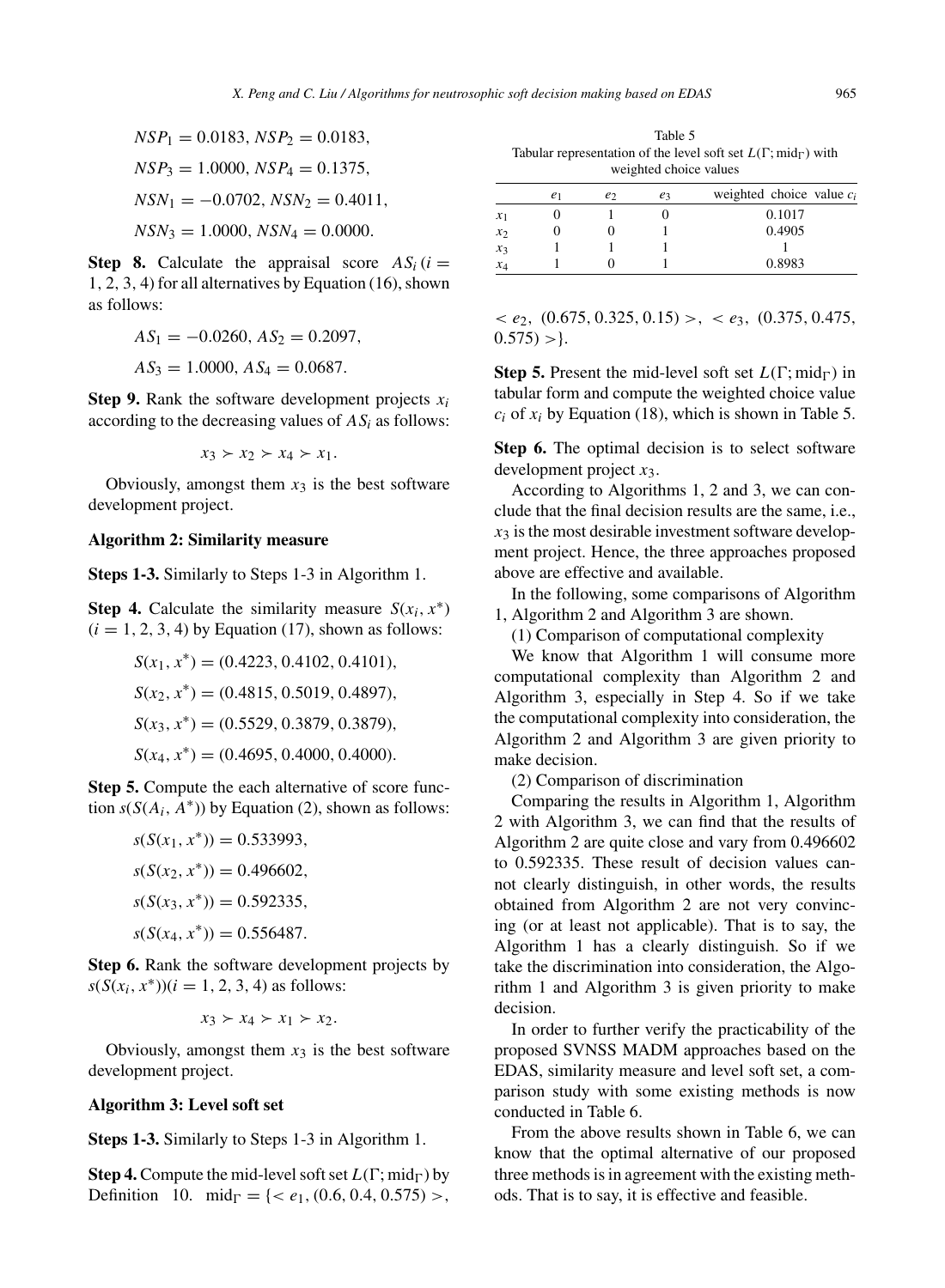$$
NSP_1 = 0.0183, NSP_2 = 0.0183,
$$
  
\n
$$
NSP_3 = 1.0000, NSP_4 = 0.1375,
$$
  
\n
$$
NSN_1 = -0.0702, NSN_2 = 0.4011,
$$

 $NSN_3 = 1.0000, NSN_4 = 0.0000.$ 

**Step 8.** Calculate the appraisal score  $AS_i$  (*i* = 1, 2, 3, 4) for all alternatives by Equation (16), shown as follows:

$$
AS_1 = -0.0260, AS_2 = 0.2097,
$$
  

$$
AS_3 = 1.0000, AS_4 = 0.0687.
$$

**Step 9.** Rank the software development projects  $x_i$ according to the decreasing values of  $AS_i$  as follows:

$$
x_3 \succ x_2 \succ x_4 \succ x_1.
$$

Obviously, amongst them  $x_3$  is the best software development project.

#### **Algorithm 2: Similarity measure**

**Steps 1-3.** Similarly to Steps 1-3 in Algorithm 1.

**Step 4.** Calculate the similarity measure  $S(x_i, x^*)$  $(i = 1, 2, 3, 4)$  by Equation (17), shown as follows:

$$
S(x_1, x^*) = (0.4223, 0.4102, 0.4101),
$$
  
\n
$$
S(x_2, x^*) = (0.4815, 0.5019, 0.4897),
$$
  
\n
$$
S(x_3, x^*) = (0.5529, 0.3879, 0.3879),
$$
  
\n
$$
S(x_4, x^*) = (0.4695, 0.4000, 0.4000).
$$

**Step 5.** Compute the each alternative of score function  $s(S(A_i, A^*))$  by Equation (2), shown as follows:

$$
s(S(x_1, x^*)) = 0.533993,
$$
  
\n
$$
s(S(x_2, x^*)) = 0.496602,
$$
  
\n
$$
s(S(x_3, x^*)) = 0.592335,
$$
  
\n
$$
s(S(x_4, x^*)) = 0.556487.
$$

**Step 6.** Rank the software development projects by  $s(S(x_i, x^*))$  $(i = 1, 2, 3, 4)$  as follows:

$$
x_3 \succ x_4 \succ x_1 \succ x_2.
$$

Obviously, amongst them  $x_3$  is the best software development project.

## **Algorithm 3: Level soft set**

**Steps 1-3.** Similarly to Steps 1-3 in Algorithm 1.

**Step 4.** Compute the mid-level soft set  $L(\Gamma; \text{mid}_{\Gamma})$  by Definition 10. mid<sub> $\Gamma$ </sub> = {< e<sub>1</sub>, (0.6, 0.4, 0.575) >,

Table 5 Tabular representation of the level soft set  $L(\Gamma; \text{mid}_{\Gamma})$  with weighted choice values

|       | e <sub>1</sub> | e <sub>2</sub> | e <sub>3</sub> | weighted choice value $c_i$ |
|-------|----------------|----------------|----------------|-----------------------------|
| $x_1$ |                |                |                | 0.1017                      |
| $x_2$ |                |                |                | 0.4905                      |
| $x_3$ |                |                |                |                             |
| $x_4$ |                |                |                | 0.8983                      |

 $\langle e_2, (0.675, 0.325, 0.15) \rangle, \langle e_3, (0.375, 0.475, 0.475) \rangle$  $0.575$ ) > }.

**Step 5.** Present the mid-level soft set  $L(\Gamma; \text{mid}_{\Gamma})$  in tabular form and compute the weighted choice value  $c_i$  of  $x_i$  by Equation (18), which is shown in Table 5.

**Step 6.** The optimal decision is to select software development project  $x_3$ .

According to Algorithms 1, 2 and 3, we can conclude that the final decision results are the same, i.e.,  $x_3$  is the most desirable investment software development project. Hence, the three approaches proposed above are effective and available.

In the following, some comparisons of Algorithm 1, Algorithm 2 and Algorithm 3 are shown.

(1) Comparison of computational complexity

We know that Algorithm 1 will consume more computational complexity than Algorithm 2 and Algorithm 3, especially in Step 4. So if we take the computational complexity into consideration, the Algorithm 2 and Algorithm 3 are given priority to make decision.

(2) Comparison of discrimination

Comparing the results in Algorithm 1, Algorithm 2 with Algorithm 3, we can find that the results of Algorithm 2 are quite close and vary from 0.496602 to 0.592335. These result of decision values cannot clearly distinguish, in other words, the results obtained from Algorithm 2 are not very convincing (or at least not applicable). That is to say, the Algorithm 1 has a clearly distinguish. So if we take the discrimination into consideration, the Algorithm 1 and Algorithm 3 is given priority to make decision.

In order to further verify the practicability of the proposed SVNSS MADM approaches based on the EDAS, similarity measure and level soft set, a comparison study with some existing methods is now conducted in Table 6.

From the above results shown in Table 6, we can know that the optimal alternative of our proposed three methods is in agreement with the existing methods. That is to say, it is effective and feasible.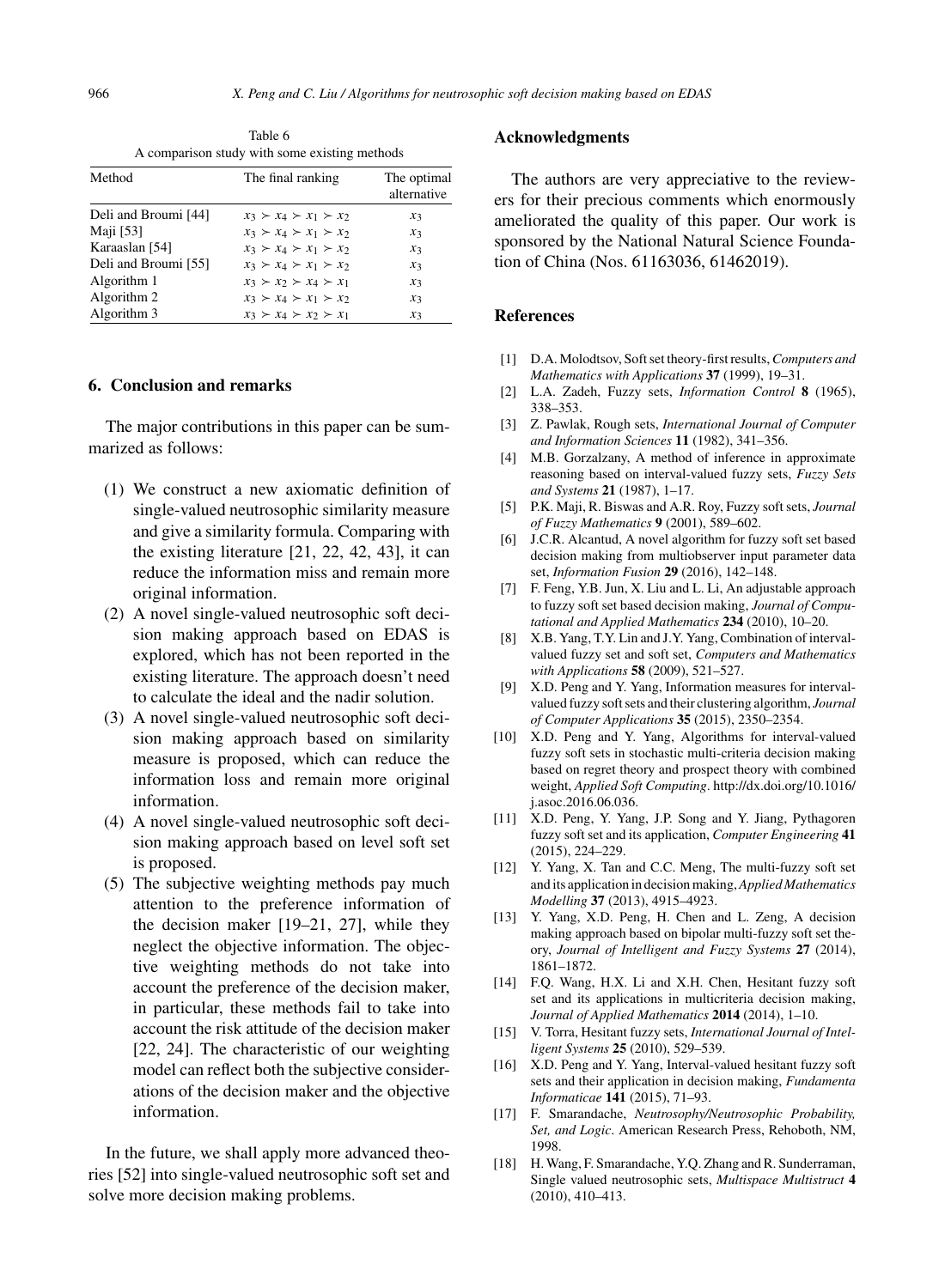Table 6 A comparison study with some existing methods

| Method               | The final ranking                   | The optimal<br>alternative |
|----------------------|-------------------------------------|----------------------------|
| Deli and Broumi [44] | $x_3 \succ x_4 \succ x_1 \succ x_2$ | $x_3$                      |
| Maji [53]            | $x_3 \succ x_4 \succ x_1 \succ x_2$ | $x_3$                      |
| Karaaslan [54]       | $x_3 \succ x_4 \succ x_1 \succ x_2$ | $x_3$                      |
| Deli and Broumi [55] | $x_3 \succ x_4 \succ x_1 \succ x_2$ | $x_3$                      |
| Algorithm 1          | $x_3 \succ x_2 \succ x_4 \succ x_1$ | $x_3$                      |
| Algorithm 2          | $x_3 \succ x_4 \succ x_1 \succ x_2$ | $x_3$                      |
| Algorithm 3          | $x_3 \succ x_4 \succ x_2 \succ x_1$ | $x_3$                      |

## **6. Conclusion and remarks**

The major contributions in this paper can be summarized as follows:

- (1) We construct a new axiomatic definition of single-valued neutrosophic similarity measure and give a similarity formula. Comparing with the existing literature [21, 22, 42, 43], it can reduce the information miss and remain more original information.
- (2) A novel single-valued neutrosophic soft decision making approach based on EDAS is explored, which has not been reported in the existing literature. The approach doesn't need to calculate the ideal and the nadir solution.
- (3) A novel single-valued neutrosophic soft decision making approach based on similarity measure is proposed, which can reduce the information loss and remain more original information.
- (4) A novel single-valued neutrosophic soft decision making approach based on level soft set is proposed.
- (5) The subjective weighting methods pay much attention to the preference information of the decision maker [19–21, 27], while they neglect the objective information. The objective weighting methods do not take into account the preference of the decision maker, in particular, these methods fail to take into account the risk attitude of the decision maker [22, 24]. The characteristic of our weighting model can reflect both the subjective considerations of the decision maker and the objective information.

In the future, we shall apply more advanced theories [52] into single-valued neutrosophic soft set and solve more decision making problems.

#### **Acknowledgments**

The authors are very appreciative to the reviewers for their precious comments which enormously ameliorated the quality of this paper. Our work is sponsored by the National Natural Science Foundation of China (Nos. 61163036, 61462019).

# **References**

- [1] D.A. Molodtsov, Soft set theory-first results,*Computers and Mathematics with Applications* **37** (1999), 19–31.
- [2] L.A. Zadeh, Fuzzy sets, *Information Control* **8** (1965), 338–353.
- [3] Z. Pawlak, Rough sets, *International Journal of Computer and Information Sciences* **11** (1982), 341–356.
- [4] M.B. Gorzalzany, A method of inference in approximate reasoning based on interval-valued fuzzy sets, *Fuzzy Sets and Systems* **21** (1987), 1–17.
- [5] P.K. Maji, R. Biswas and A.R. Roy, Fuzzy soft sets, *Journal of Fuzzy Mathematics* **9** (2001), 589–602.
- [6] J.C.R. Alcantud, A novel algorithm for fuzzy soft set based decision making from multiobserver input parameter data set, *Information Fusion* **29** (2016), 142–148.
- [7] F. Feng, Y.B. Jun, X. Liu and L. Li, An adjustable approach to fuzzy soft set based decision making, *Journal of Computational and Applied Mathematics* **234** (2010), 10–20.
- [8] X.B. Yang, T.Y. Lin and J.Y. Yang, Combination of intervalvalued fuzzy set and soft set, *Computers and Mathematics with Applications* **58** (2009), 521–527.
- [9] X.D. Peng and Y. Yang, Information measures for intervalvalued fuzzy soft sets and their clustering algorithm, *Journal of Computer Applications* **35** (2015), 2350–2354.
- [10] X.D. Peng and Y. Yang, Algorithms for interval-valued fuzzy soft sets in stochastic multi-criteria decision making based on regret theory and prospect theory with combined weight, *Applied Soft Computing*. [http://dx.doi.org/10.1016/](http://dx.doi.org/10.1016/j.asoc.2016.06.036) [j.asoc.2016.06.036](http://dx.doi.org/10.1016/j.asoc.2016.06.036).
- [11] X.D. Peng, Y. Yang, J.P. Song and Y. Jiang, Pythagoren fuzzy soft set and its application, *Computer Engineering* **41** (2015), 224–229.
- [12] Y. Yang, X. Tan and C.C. Meng, The multi-fuzzy soft set and its application in decision making,*Applied Mathematics Modelling* **37** (2013), 4915–4923.
- [13] Y. Yang, X.D. Peng, H. Chen and L. Zeng, A decision making approach based on bipolar multi-fuzzy soft set theory, *Journal of Intelligent and Fuzzy Systems* **27** (2014), 1861–1872.
- [14] F.Q. Wang, H.X. Li and X.H. Chen, Hesitant fuzzy soft set and its applications in multicriteria decision making, *Journal of Applied Mathematics* **2014** (2014), 1–10.
- [15] V. Torra, Hesitant fuzzy sets, *International Journal of Intelligent Systems* **25** (2010), 529–539.
- [16] X.D. Peng and Y. Yang, Interval-valued hesitant fuzzy soft sets and their application in decision making, *Fundamenta Informaticae* **141** (2015), 71–93.
- [17] F. Smarandache, *Neutrosophy/Neutrosophic Probability, Set, and Logic*. American Research Press, Rehoboth, NM, 1998.
- [18] H. Wang, F. Smarandache, Y.Q. Zhang and R. Sunderraman, Single valued neutrosophic sets, *Multispace Multistruct* **4** (2010), 410–413.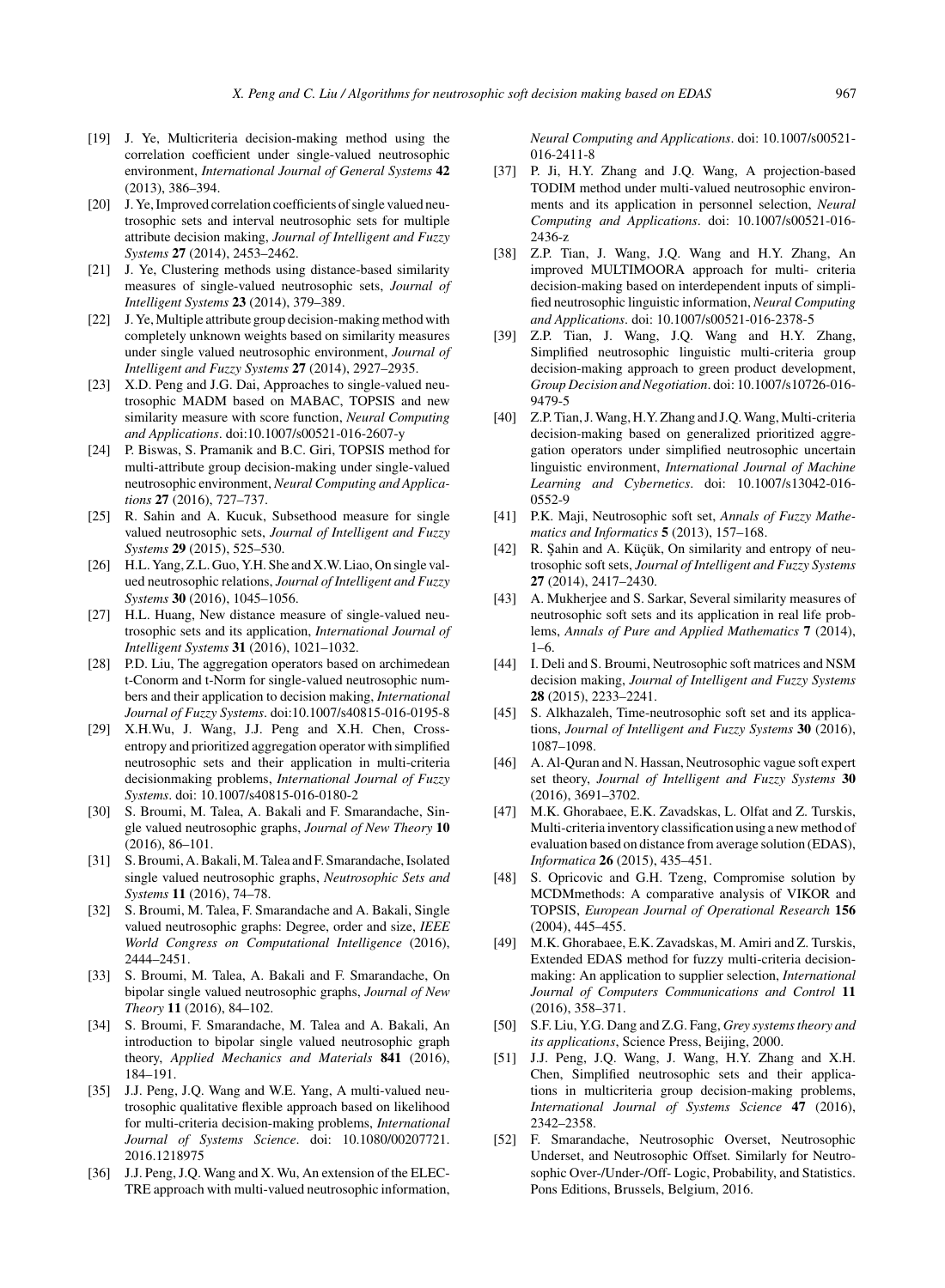- [19] J. Ye, Multicriteria decision-making method using the correlation coefficient under single-valued neutrosophic environment, *International Journal of General Systems* **42** (2013), 386–394.
- [20] J. Ye, Improved correlation coefficients of single valued neutrosophic sets and interval neutrosophic sets for multiple attribute decision making, *Journal of Intelligent and Fuzzy Systems* **27** (2014), 2453–2462.
- [21] J. Ye, Clustering methods using distance-based similarity measures of single-valued neutrosophic sets, *Journal of Intelligent Systems* **23** (2014), 379–389.
- [22] J. Ye, Multiple attribute group decision-making method with completely unknown weights based on similarity measures under single valued neutrosophic environment, *Journal of Intelligent and Fuzzy Systems* **27** (2014), 2927–2935.
- [23] X.D. Peng and J.G. Dai, Approaches to single-valued neutrosophic MADM based on MABAC, TOPSIS and new similarity measure with score function, *Neural Computing and Applications*. doi:10.1007/s00521-016-2607-y
- [24] P. Biswas, S. Pramanik and B.C. Giri, TOPSIS method for multi-attribute group decision-making under single-valued neutrosophic environment, *Neural Computing and Applications* **27** (2016), 727–737.
- [25] R. Sahin and A. Kucuk, Subsethood measure for single valued neutrosophic sets, *Journal of Intelligent and Fuzzy Systems* **29** (2015), 525–530.
- [26] H.L. Yang, Z.L. Guo, Y.H. She and X.W. Liao, On single valued neutrosophic relations, *Journal of Intelligent and Fuzzy Systems* **30** (2016), 1045–1056.
- [27] H.L. Huang, New distance measure of single-valued neutrosophic sets and its application, *International Journal of Intelligent Systems* **31** (2016), 1021–1032.
- [28] P.D. Liu, The aggregation operators based on archimedean t-Conorm and t-Norm for single-valued neutrosophic numbers and their application to decision making, *International Journal of Fuzzy Systems*. doi:10.1007/s40815-016-0195-8
- [29] X.H.Wu, J. Wang, J.J. Peng and X.H. Chen, Crossentropy and prioritized aggregation operator with simplified neutrosophic sets and their application in multi-criteria decisionmaking problems, *International Journal of Fuzzy Systems*. doi: 10.1007/s40815-016-0180-2
- [30] S. Broumi, M. Talea, A. Bakali and F. Smarandache, Single valued neutrosophic graphs, *Journal of New Theory* **10** (2016), 86–101.
- [31] S. Broumi, A. Bakali, M. Talea and F. Smarandache, Isolated single valued neutrosophic graphs, *Neutrosophic Sets and Systems* **11** (2016), 74–78.
- [32] S. Broumi, M. Talea, F. Smarandache and A. Bakali, Single valued neutrosophic graphs: Degree, order and size, *IEEE World Congress on Computational Intelligence* (2016), 2444–2451.
- [33] S. Broumi, M. Talea, A. Bakali and F. Smarandache, On bipolar single valued neutrosophic graphs, *Journal of New Theory* **11** (2016), 84–102.
- [34] S. Broumi, F. Smarandache, M. Talea and A. Bakali, An introduction to bipolar single valued neutrosophic graph theory, *Applied Mechanics and Materials* **841** (2016), 184–191.
- [35] J.J. Peng, J.Q. Wang and W.E. Yang, A multi-valued neutrosophic qualitative flexible approach based on likelihood for multi-criteria decision-making problems, *International Journal of Systems Science*. doi: 10.1080/00207721. 2016.1218975
- [36] J.J. Peng, J.Q. Wang and X. Wu, An extension of the ELEC-TRE approach with multi-valued neutrosophic information,

*Neural Computing and Applications*. doi: 10.1007/s00521- 016-2411-8

- [37] P. Ji, H.Y. Zhang and J.Q. Wang, A projection-based TODIM method under multi-valued neutrosophic environments and its application in personnel selection, *Neural Computing and Applications*. doi: 10.1007/s00521-016- 2436-z
- [38] Z.P. Tian, J. Wang, J.Q. Wang and H.Y. Zhang, An improved MULTIMOORA approach for multi- criteria decision-making based on interdependent inputs of simplified neutrosophic linguistic information, *Neural Computing and Applications*. doi: 10.1007/s00521-016-2378-5
- [39] Z.P. Tian, J. Wang, J.Q. Wang and H.Y. Zhang, Simplified neutrosophic linguistic multi-criteria group decision-making approach to green product development, *Group Decision and Negotiation*. doi: 10.1007/s10726-016- 9479-5
- [40] Z.P. Tian, J. Wang, H.Y. Zhang and J.Q. Wang, Multi-criteria decision-making based on generalized prioritized aggregation operators under simplified neutrosophic uncertain linguistic environment, *International Journal of Machine Learning and Cybernetics*. doi: 10.1007/s13042-016- 0552-9
- [41] P.K. Maji, Neutrosophic soft set, *Annals of Fuzzy Mathematics and Informatics* **5** (2013), 157–168.
- [42] R. Sahin and A. Küçük, On similarity and entropy of neutrosophic soft sets, *Journal of Intelligent and Fuzzy Systems* **27** (2014), 2417–2430.
- [43] A. Mukherjee and S. Sarkar, Several similarity measures of neutrosophic soft sets and its application in real life problems, *Annals of Pure and Applied Mathematics* **7** (2014), 1–6.
- [44] I. Deli and S. Broumi, Neutrosophic soft matrices and NSM decision making, *Journal of Intelligent and Fuzzy Systems* **28** (2015), 2233–2241.
- [45] S. Alkhazaleh, Time-neutrosophic soft set and its applications, *Journal of Intelligent and Fuzzy Systems* **30** (2016), 1087–1098.
- [46] A. Al-Quran and N. Hassan, Neutrosophic vague soft expert set theory, *Journal of Intelligent and Fuzzy Systems* **30** (2016), 3691–3702.
- [47] M.K. Ghorabaee, E.K. Zavadskas, L. Olfat and Z. Turskis, Multi-criteria inventory classification using a new method of evaluation based on distance from average solution (EDAS), *Informatica* **26** (2015), 435–451.
- [48] S. Opricovic and G.H. Tzeng, Compromise solution by MCDMmethods: A comparative analysis of VIKOR and TOPSIS, *European Journal of Operational Research* **156** (2004), 445–455.
- [49] M.K. Ghorabaee, E.K. Zavadskas, M. Amiri and Z. Turskis, Extended EDAS method for fuzzy multi-criteria decisionmaking: An application to supplier selection, *International Journal of Computers Communications and Control* **11** (2016), 358–371.
- [50] S.F. Liu, Y.G. Dang and Z.G. Fang, *Grey systems theory and its applications*, Science Press, Beijing, 2000.
- [51] J.J. Peng, J.Q. Wang, J. Wang, H.Y. Zhang and X.H. Chen, Simplified neutrosophic sets and their applications in multicriteria group decision-making problems, *International Journal of Systems Science* **47** (2016), 2342–2358.
- [52] F. Smarandache, Neutrosophic Overset, Neutrosophic Underset, and Neutrosophic Offset. Similarly for Neutrosophic Over-/Under-/Off- Logic, Probability, and Statistics. Pons Editions, Brussels, Belgium, 2016.